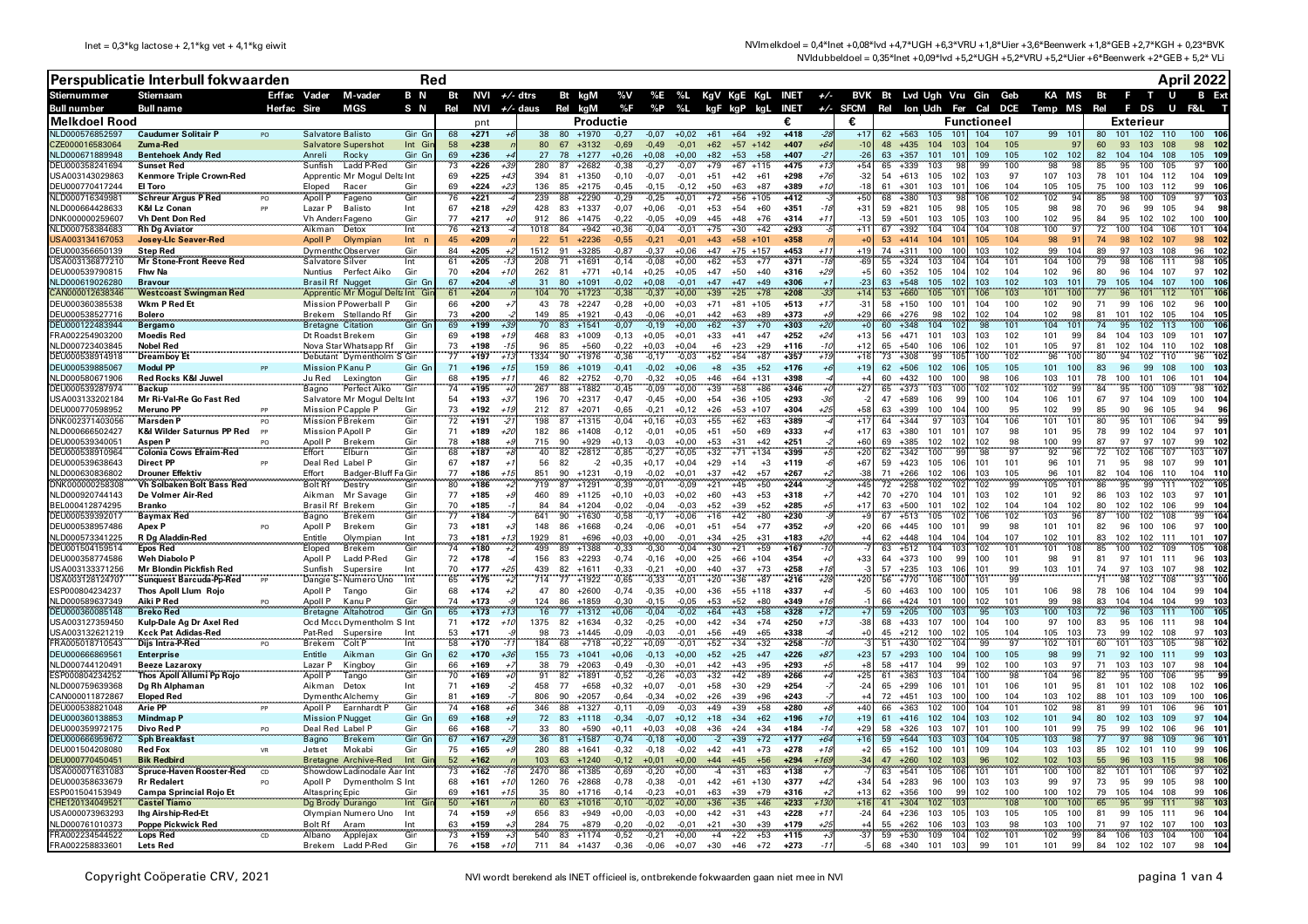|                                    | Perspublicatie Interbull fokwaarden                      | <b>Red</b>     |                                     |                                                    |                   |          |                   |              |              |                                |                    |                    |                    | April 2022                                               |                     |                  |                |                |          |                      |                                     |                    |            |                                                   |          |                         |                        |                                    |
|------------------------------------|----------------------------------------------------------|----------------|-------------------------------------|----------------------------------------------------|-------------------|----------|-------------------|--------------|--------------|--------------------------------|--------------------|--------------------|--------------------|----------------------------------------------------------|---------------------|------------------|----------------|----------------|----------|----------------------|-------------------------------------|--------------------|------------|---------------------------------------------------|----------|-------------------------|------------------------|------------------------------------|
| <b>Stiernummer</b>                 | <b>Stiernaam</b>                                         | Erffac Vader   |                                     | M-vader                                            | B N               |          | Bt NVI $+/-$ dtrs |              |              | Bt kgM                         |                    |                    |                    | %V %E %L KgV KgE KgL INET +/- BVK Bt Lvd Ugh Vru Gin Geb |                     |                  |                |                |          |                      |                                     |                    |            | KA MS Bt                                          |          | - F                     | <b>TU</b>              |                                    |
| Bull number                        | <b>Bull name</b>                                         | Herfac Sire    |                                     | MGS                                                | S N               | Rel      | NVI               |              |              | $+\sqrt{-}$ daus Rel kgM       |                    | %F %P              | %L                 | kgF kgP kgL                                              |                     |                  |                |                |          |                      |                                     |                    |            | INET +/- SFCM Rel lon Udh Fer Cal DCE Temp MS Rel |          | <b>FDS</b>              | U                      |                                    |
| Melkdoel Rood                      |                                                          |                |                                     |                                                    |                   |          | pnt               |              |              |                                | Productie          |                    |                    |                                                          |                     | €<br>$+418$      |                | €              |          |                      | 101                                 | <b>Functioneel</b> |            |                                                   |          | <b>Exterieur</b>        |                        |                                    |
| NLD000576852597<br>CZE000016583064 | <b>Caudumer Solitair P</b><br>Zuma-Red                   | P <sub>O</sub> | Salvatore Balisto                   | <b>Salvatore Supershot</b>                         | Gin Gn<br>Int Gir | 68<br>58 | $+271$<br>$+238$  |              | 38<br>80     | 80 +1970<br>67<br>$+3132$      | $-0,27$<br>$-0,69$ | $-0,07$<br>$-0,49$ | $+0,02$<br>$-0,01$ | $+61$<br>$+64$<br>$+62$                                  | $+92$<br>$+57$ +142 | $+407$           | +6             | $+1$<br>$-10$  | 62<br>48 | $+563$<br>$+435$     | 105<br>104<br>103                   | 104<br>104         | 107<br>105 | 99<br>101<br>97                                   | 80<br>60 | 101<br>- 93             | 102 110<br>103 108     | 100<br>98<br>- 102                 |
| NLD000671889948                    | <b>Bentehoek Andy Red</b>                                |                | Anreli                              | Rocky                                              | Gin Gn<br>Gin     | 69       | $+236$            |              | 27           | $+1277$<br>78                  | $+0,26$            | $+0,08$            | +0.00              | $+82$<br>$+53$                                           | $+58$               | $+407$           |                | $-26$<br>+54   | 63       | $+357$               | 101<br>101                          | 109                | 105        | 102<br>98<br>102                                  | 82       | 104<br>104              | 108                    | 105<br>109                         |
| EU000358241694                     | <b>Sunset Red</b>                                        |                | Sunfish                             | Ladd P-Red                                         |                   | 73       | $+226$            |              |              | $+2682$<br>87                  | $-0,38$            | $-0,27$            | -0,07              | $+79$                                                    | $+67$ +115          | $+475$           |                |                | 65       | $+339$               | 103                                 | 99                 | 100        |                                                   | 85       | 95<br>100               | 105                    | 97<br>100                          |
| USA003143029863<br>DEU000770417244 | Kenmore Triple Crown-Red<br>El Toro                      |                | Eloped                              | Apprentic Mr Mogul Delta Int<br>Racer              | Gin               | 69<br>69 | $+225$<br>$+224$  | $+4$<br>$+2$ | 394<br>136   | 81<br>$+1350$<br>85<br>$+2175$ | $-0,10$<br>$-0,45$ | $-0,07$<br>$-0,15$ | $-0,01$<br>$-0.12$ | $+51$<br>$+42$<br>$+50$<br>$+63$                         | $+61$<br>$+87$      | $+298$<br>+389   | $+76$<br>+10   | $-32$<br>$-15$ | 54<br>61 | $+613$<br>$+301$     | 105<br>102<br>103<br>101            | 103<br>106         | 97<br>104  | 107<br>103<br>105<br>105                          | 78<br>75 | 101<br>100              | 104 112<br>103 112     | 104<br>109<br>99<br>106            |
| NLD000716349981                    | <b>Schreur Argus P Red</b>                               | P <sub>O</sub> | Apoll P                             | Fageno                                             | Gin               | 76       | $+221$            |              | 239          | 88<br>$+2290$                  | $-0,29$            | $-0,25$            | $+0,01$            | $+72$                                                    | $+56$ +105          | $+412$           |                | $+50$          | 68       | $+380$               | 103<br>98                           | 106                | 102        | 102<br>94                                         | 85       | 98<br>100               | 109                    | 103<br>97                          |
| NLD000664428633                    | <b>K&amp;I Lz Conan</b>                                  |                | Lazar P                             | <b>Balisto</b>                                     | Int               | 67<br>77 | $+218$            | $+2$         | 428<br>912   | 83 +1337                       | $-0.07$            | $+0.06$            | $-0.01$            | $+53$<br>$+54$                                           | $+60$               | $+351$           | $-18$<br>$+1$  | $+31$<br>$-12$ | 59<br>59 | $+821$               | 105<br>98<br>105                    | 105                | 105        | 98<br>98<br>95                                    | 70<br>84 | 96<br>99                | 105                    | 94<br>98                           |
| DNK000000259607<br>VLD000758384683 | <b>Vh Dent Don Red</b><br><b>Rh Dg Aviator</b>           |                | Vh Ander: Fageno<br>Aikman          | Detox                                              | Gin<br>Int        | 76       | $+217$<br>$+213$  |              | 1018         | 86<br>$+1475$<br>84<br>$+942$  | $-0.22$<br>$+0.36$ | $-0.05$<br>$-0.04$ | $+0.09$<br>$-0,01$ | $+45$<br>$+48$<br>$+75$<br>$+30$                         | $+76$<br>$+42$      | $+314$<br>$+293$ |                | $+11$          | 67       | $+501$<br>$+392$     | 103<br>104<br>104                   | 103<br>104         | 100<br>108 | 102<br>100<br>$\mathbf{q}$                        | 72       | 95<br>100<br>104        | 102 102<br>106         | 100<br>100<br>104<br>101           |
| USA003134167053                    | <b>Josey-Lic Seaver-Red</b>                              |                | Apoll P                             | Olympiar                                           | Int <sub>n</sub>  | 45       | $+209$            |              | 22           | 51<br>$+2236$                  | $-0.55$            | $-0.21$            | $-0.01$            | $+43$<br>$+58$                                           | $+101$              | +358             |                |                |          | $53 + 414$           | 104<br>101                          | 105                | 104        | 98<br>9.                                          | 74       | 98<br>102               | -107                   | 98<br>102                          |
| DEU000356650139                    | <b>Step Red</b>                                          |                | <b>Dymenth</b> Observer             |                                                    | Gin               | 84       | $+205$            |              | 1512         | $+3285$<br>91                  | $-0.87$            | $-0.37$            | $+0.06$            | $+47$<br>$+75$                                           | $+157$              | $+453$           | $+1$           | $+19$          | 74       | $+311$               | 100<br>100                          | 103                | 102        | 104<br>99                                         | 89       | 97<br>103               | 108                    | 96<br>102                          |
| JSA003136877210<br>DEU000539790815 | <b>Mr Stone-Front Reeve Red</b><br>Fhw Na                |                | Salvatore Silver<br>Nuntius         | Perfect Aiko                                       | Int<br>Gin        | 61<br>70 | $+205$<br>$+204$  |              | 208<br>262   | 71<br>+1691<br>81<br>$+771$    | $-0,14$<br>$+0,14$ | $-0,08$<br>$+0,25$ | $+0,00$<br>$+0,05$ | $+62$<br>$+53$<br>$+47$<br>$+50$                         | $+77$<br>$+40$      | $+371$<br>$+316$ | $-18$<br>+29   | $-69$<br>$+5$  | 55<br>60 | $+324$<br>$+352$     | 104<br>103<br>105<br>104            | 104<br>102         | 101<br>104 | 104<br>100<br>102<br>96                           | 79<br>80 | 98<br>106<br>96<br>104  | 111<br>107             | 105<br>98<br>97<br>102             |
| NLD000619026280                    | <b>Bravour</b>                                           |                | Brasil Rf Nugget                    |                                                    | Gin Gn            | 67       | $+204$            |              | 31           | 80<br>$+1091$                  | $-0,02$            | $+0,08$            | $-0,01$            | $+47$<br>$+47$                                           | $+49$               | $+306$           |                |                | 63       | $+548$               | 105<br>102                          | 103                | 102        | 103<br>101                                        | 79       | 105<br>104              | 107                    | 100<br>106                         |
| AN000012638346                     | Westcoast Swingman Red                                   |                |                                     | Apprentic Mr Mogul Delta Int Gi                    |                   | 61       | $+204$            |              | 104          | 70<br>$+1723$                  | $-0,38$            | $-0,37$            | $+0,00$            | $+39$<br>$+25$                                           | $+78$               | $+208$           |                | $+14$          | 53       | $+660$               | 105                                 | 106                | 103        | 101                                               | 77       | 101                     |                        |                                    |
| DEU000360385538<br>DEU000538527716 | Wkm P Red Et<br><b>Bolero</b>                            |                | Brekem                              | Mission F Powerball P<br>Stellando Rf              | Gir<br>Gir        | 66<br>73 | $+200$<br>+200    |              | 43<br>149    | 78<br>$+2247$<br>85<br>$+1921$ | $-0,28$<br>$-0,43$ | $+0,00$<br>$-0,06$ | $+0.03$<br>$+0,01$ | $+71$<br>$+81$<br>$+42$<br>$+63$                         | $+105$<br>$+89$     | $+513$<br>$+373$ | $+1$           | $-31$<br>+29   | 58<br>66 | $+150$<br>+276       | 100<br>101<br>98<br>102             | 104<br>102         | 100<br>104 | 102<br>90<br>102<br>98                            | 71<br>81 | 99<br>106<br>101<br>102 | 102<br>105             | 96<br>100<br>104<br>105            |
| EU000122483944                     | in and the community of the Bretagne Citation<br>Bergamo |                |                                     |                                                    | Gin Gn            | 69       | $+199$            |              | 70           | 83<br>$+1541$                  | $-0,07$            | $-0,19$            | $+0,00$            | $+62$<br>$+37$                                           | $+70$               | $+303$           |                |                | 60       | $+348$               | 104<br>102                          | 98                 | 101        | 104<br>10                                         |          | 95<br>102               | 113                    | 100                                |
| FRA002254903200                    | <b>Moedis Red</b>                                        |                | Dt Roadst Brekem                    |                                                    | Gin               | 69       | $+198$            |              | 468          | 83<br>$+1009$                  | $-0,13$            | $+0,05$            | $+0,01$            | $+33$<br>$+41$                                           | $+47$               | $+252$           | $+24$          | $+13$          | 56       | $+471$               | 101<br>103                          | 103                | 102        | 101<br>9s                                         | 84       | 104<br>103              | 109                    | 101<br>$10^{\circ}$                |
| ILD000723403845<br>DEU000538914918 | <b>Nobel Red</b><br><b>Dreamboy Et</b>                   |                |                                     | Nova Star Whatsapp Rf<br>Debutant Dymentholm S Gin | Gin               | 73<br>77 | $+198$<br>$+197$  |              | 96<br>334    | 85<br>$+560$<br>90<br>$+1976$  | $-0,22$<br>$-0,36$ | $+0,03$<br>$-0,17$ | $+0.04$<br>$-0,03$ | $+6$<br>$+23$<br>$+52$<br>$+54$                          | $+29$<br>$+87$      | $+116$<br>$+357$ | $-10$<br>$+15$ | $+12$<br>$+16$ | 65<br>73 | $+540$<br>$+308$     | 106<br>106<br>99<br>10 <sup>t</sup> | 102<br>100         | 101<br>102 | 105<br>97<br>96<br>100                            | 81<br>80 | 102<br>104<br>94<br>102 | 110<br>110             | 102<br>108<br>96                   |
| DEU000539885067                    | Modul PF                                                 |                | Mission F Kanu P                    |                                                    | Gin Gr            | 71       | $+196$            | $+1$         | 159          | 86<br>$+1019$                  | $-0.41$            | $-0.02$            | $+0,06$            | $+8$<br>$+35$                                            | $+52$               | $+176$           |                | $+19$          |          | $62 + 506$           | 102<br>106                          | 105                | 105        | 101<br>100                                        | 83       | 96<br>99                | 108                    | 100<br>10 <sup>3</sup>             |
| NLD000580671906                    | Red Rocks K&I Juwel                                      |                | Ju Red                              | Lexington                                          | Gin               | 68       | $+195$            | $+1$         | 46           | 82<br>$+2752$                  | $-0,70$            | $-0,32$            | $+0.05$            | $+46$<br>$+64$                                           | $+131$              | $+398$           |                |                | 60       | $+432$               | 100<br>100                          | 98                 | 106        | 103<br>101                                        | 78       | 100<br>101              | 106                    | 101<br>104                         |
| DEU000539287974<br>USA003133202184 | Backup<br>Mr Ri-Val-Re Go Fast Red                       |                | Bagno                               | Perfect Aiko<br>Salvatore Mr Mogul Delta Int       | Gin               | 74<br>54 | $+195$<br>$+193$  | $+3$         | 267<br>196   | $+1882$<br>88<br>70<br>$+2317$ | $-0,45$<br>$-0.47$ | -0.09<br>$-0.45$   | $+0.00$<br>$+0.00$ | $+39$<br>$+58$<br>$+54$<br>$+36$                         | $+86$<br>$+105$     | $+346$<br>$+293$ | $-31$          | $+27$<br>-2    | 65<br>47 | $+373$<br>+589       | 103<br>100<br>99<br>106             | 102<br>100         | 102<br>104 | 102<br>99<br>106<br>101                           | 84<br>67 | 95<br>100<br>97<br>104  | 10 <sup>o</sup><br>109 | 102<br>98<br>100<br>104            |
| DEU000770598952                    | <b>Meruno PF</b>                                         |                | Mission F Capple P                  |                                                    | Gin               | 73       | $+192$            |              | 212          | 87<br>$+2071$                  | $-0.65$            | $-0.21$            | $+0.12$            | $+26$<br>$+53$                                           | $+107$              | $+304$           | +25            | +58            | 63       | $+399$               | 100<br>104                          | 100                | 95         | 99<br>102                                         | 85       | 90<br>96                | 105                    | 94<br>96                           |
| DNK002371403056                    | Marsden P                                                |                | <b>Mission F Brekem</b>             |                                                    | Gin               | 72       | $+191$            | -2           | 198          | 87<br>$+1315$                  | $-0,04$            | $+0,16$            | $+0,03$            | $+55$<br>$+62$                                           | $+63$               | $+389$           |                | $+1$           | 64       | $+344$               | 97<br>10.3                          | 104                | 106        | 101<br>101                                        | 80       | 95<br>101               | 106                    | 99<br>94                           |
| NLD000666502427<br>DEU000539340051 | K&I Wilder Saturnus PP Red<br>Aspen P                    | PP             | <b>Mission F Apoll P</b><br>Apoll P | <b>Brekem</b>                                      | Gin<br>Gin        | 71<br>78 | $+189$<br>$+188$  | $+20$        | 182<br>715   | 86<br>$+1408$<br>90<br>$+929$  | $-0,12$<br>$+0,13$ | $-0,01$<br>$-0,03$ | $+0,05$<br>$+0,00$ | $+51$<br>$+50$<br>$+31$<br>$+53$                         | $+69$<br>$+42$      | +333<br>$+251$   |                | $+17$<br>$+60$ | 63<br>69 | $+380$<br>$+385$     | 101<br>101<br>102<br>102            | 107<br>102         | 98<br>98   | 101<br>95<br>100<br>99                            | 78<br>87 | 99<br>102<br>97<br>97   | 104<br>107             | 97<br>101<br>99<br>102             |
| DEU000538910964                    | Colonia Cows Efraim-Red                                  |                |                                     | Elburn                                             | Gin               | 68       | $+187$            |              | 40           | 82<br>$+2812$                  | $-0,85$            | $-0,27$            | $+0,05$            | $+32$<br>$+71$                                           | $+134$              | $+399$           |                |                | 62       | $+342$               | 100<br>ġó                           | 98                 | 97         | 92<br>$\mathbf{q}$                                | 72       | 106<br>102              | 107                    | 103<br>107                         |
| DEU000539638643                    | <b>Direct PP</b>                                         |                | Deal Red Label P                    |                                                    | Gin               | 67       | $+187$            |              | 56           | 82<br>$-2$                     | $+0,35$            | $+0,17$            | $+0,04$            | $+29$<br>$+14$                                           | $+3$                | $+119$           |                | $+67$          | 59       | $+423$               | 105<br>106                          | 101                | 101        | 96<br>101                                         | 71       | 95<br>98                | 107                    | 99<br>$10^{\circ}$                 |
| JLD000630836802<br>DNK000000258308 | Drouner Effektiv<br>Vh Solbaken Bolt Bass Red            |                | Effort<br><b>Bolt Rf</b>            | Badger-Bluff Fa Gin<br>Destry                      | Gin               | 77<br>80 | $+186$<br>$+186$  |              | 851<br>719   | 90<br>$+1231$<br>87<br>$+1291$ | $-0.19$<br>$-0,39$ | $-0.02$<br>$-0,01$ | $+0.01$<br>$-0,09$ | $+42$<br>$+37$<br>$+21$<br>$+45$                         | $+57$<br>$+50$      | $+267$<br>$+244$ |                | -38            | 71<br>72 | $+266$<br>$+258$     | 102<br>106<br>102                   | 103<br>102         | 105<br>99  | 96<br>101<br>105<br>101                           | 82<br>86 | 104<br>106<br>99<br>95  | 110<br>111             | 104<br>110<br>102<br>105           |
| NLD000920744143                    | De Volmer Air-Red                                        |                | Aikman                              | Mr Savage                                          | Gin               | 77       | $+185$            |              | 460          | 89 +1125                       | $+0,10$            | $+0,03$            | $+0,02$            | $+60$<br>$+43$                                           | $+53$               | $+318$           |                | $+42$          |          | $70 + 270$           | 104<br>101                          | 103                | 102        | 101<br>92                                         | 86       | 103                     | 102 103                | 97 101                             |
| BEL000412874295                    | <b>Branko</b>                                            |                | <b>Brasil Rf</b>                    | <b>Brekem</b>                                      | Gin               | 70       | $+185$            |              | 84           | 84<br>$+1204$                  | $-0.02$            | $-0.04$            | $-0.03$            | $+52$<br>$+39$                                           | $+52$               | $+285$           |                | $+17$          | 63       | $+500$               | 101<br>102                          | 102                | 104        | 104<br>102                                        | 80       | 102<br>102              | 106                    | 99<br>104                          |
| DEU000539392017<br>DEU000538957486 | Baymax Red<br>Apex P                                     |                | Bagno<br>Apoll P                    | Brekem<br>Brekem                                   | Gir<br>Gin        | 77<br>73 | $+184$<br>$+181$  |              | 641<br>148   | 90<br>+1630<br>86<br>+1668     | $-0,58$<br>$-0.24$ | $-0,17$<br>$-0.06$ | +0,06<br>$+0.01$   | $+42$<br>+16<br>$+51$<br>$+54$                           | +80<br>$+77$        | $+230$<br>$+352$ |                | $+20$          | 67<br>66 | $+513$<br>+445       | 105<br>102<br>100<br>101            | 106<br>99          | 102<br>98  | 103<br>96<br>101<br>-101                          | 87<br>82 | 102<br>100<br>96<br>100 | 108<br>106             | 104<br>99<br>97<br>100             |
| NLD000573341225                    | R Dg Aladdin-Red                                         |                | Entitle                             | Olympian                                           | Int               | 73       | $+181$            |              | 1929         | 81<br>$+696$                   | $+0.03$            | $+0.00$            | $-0.01$            | $+34$<br>$+25$                                           | $+31$               | $+183$           | +20            |                | 62       | $+448$               | 104<br>104                          | 104                | 107        | 102<br>101                                        | 83       | 102<br>102              | 111                    | 101<br>107                         |
| DEU001504159514                    | <b>Epos Red</b>                                          |                | Eloped                              | Brekem                                             | Gin               | 74       | $+180$            |              | 499          | 89<br>$+1388$                  | $-0,33$            | $-0,30$            | $-0,04$            | $+21$<br>$+30$                                           | $+59$               | $+167$           |                |                | 63       | $+512$               | 104<br>103                          | 102                | 101        | 101<br>108                                        | 85       | 100<br>102              | 109                    | 105<br>103                         |
| DEU000358774586<br>USA003133371256 | Weh Diabolo P<br>Mr Blondin Pickfish Red                 |                | Apoll P<br>Sunfish                  | Ladd P-Red<br>Supersire                            | Gin<br>Int        | 72<br>70 | $+178$<br>$+177$  |              | 156<br>439   | 83<br>$+2293$<br>82<br>$+1611$ | $-0,74$<br>$-0,33$ | $-0,16$<br>$-0.21$ | $+0,00$<br>$+0,00$ | $+25$<br>$+66$<br>$+37$<br>$+40$                         | $+104$<br>$+73$     | $+354$<br>$+258$ | +18            | $+33$          | 64<br>57 | $+373$<br>$+235$     | 100<br>99<br>103<br>106             | 100<br>101         | 101<br>99  | 98<br>91<br>101                                   | 81<br>74 | 97<br>101<br>97<br>103  | 111<br>107             | 96<br>10 <sup>3</sup><br>98<br>102 |
| JSA003128124707                    | Sunquest Barcuda-Pp-Red PP                               |                | Dangie S-                           | Numero Uno                                         | Int               | 65       | $+175$            |              | 714          | 77<br>$+1922$                  | $-0,65$            | $-0,33$            | $-0,01$            | $+20$<br>$+36$                                           | $+87$               | $+216$           |                | $+20$          | 56       | $+770$               | 106<br>100                          | 101                | 99         | 103                                               |          | 98<br>102               | 108                    | 93<br>100                          |
| ESP000804234237                    | Thos Apoll Llum Rojo                                     |                | Apoll P                             | Tango                                              | Gin               | 68       | $+174$            |              | 47           | 80<br>$+2600$                  | $-0,74$            | $-0,35$            | $+0,00$            | $+36$                                                    | $+55$ +118          | $+337$           |                |                |          | $60 + 463$           | 100<br>100                          | 105                | 101        | 106<br>98                                         | 78       | 106<br>104              | 104                    | 99<br>10 <sub>1</sub>              |
| ILD000589637349<br>EU000360085148  | Aiki P Red<br>Breko Red                                  |                | Apoll P                             | Kanu P<br>Bretagne Altahotrod                      | Gir<br>Gin Gn     | 74<br>65 | +173              |              | 124<br>16    | 86<br>$+1859$<br>$+1312$<br>77 | $-0,30$            | $-0.15$            | $-0.05$            | $+53$<br>$+52$                                           | $+80$               | +349<br>$+328$   | $+1$           |                | 59       | $+424$<br>$+205$     | 101<br>100<br>10.3                  | 102<br>95          | 101<br>103 | 99<br><b>QS</b><br>10                             | 72       | 104<br>104<br>103       | 104<br>111             | 99<br>103<br>100                   |
| JSA003127359450                    | Kulp-Dale Ag Dr Axel Red                                 |                |                                     | Ocd Mccu Dymentholm S Int                          |                   | 71       | $+173$<br>$+172$  | $+1$         | 1375         | 82<br>$+1634$                  | $+0,06$<br>$-0,32$ | $-0,04$<br>$-0,25$ | $-0,02$<br>$+0,00$ | $+64$<br>$+43$<br>$+42$<br>$+34$                         | $+58$<br>$+74$      | $+250$           | $+13$          | $-38$          | 68       | $+433$               | 100<br>107<br>100                   | 104                | 100        | 100<br>97<br>100                                  | 83       | 95<br>106               | 111                    | 98<br>104                          |
| JSA003132621219                    | <b>Kcck Pat Adidas-Red</b>                               |                | Pat-Red                             | Supersire                                          | Int               | 53       | $+171$            |              | 98           | 73<br>$+1445$                  | $-0.09$            | $-0.03$            | $-0.01$            | $+56$<br>$+49$                                           | $+65$               | $+338$           |                |                | 45       | $+212$               | 100<br>102                          | 105                | 104        | 105<br>103                                        | 73       | 99<br>102               | 108                    | 97<br>103                          |
| RA005018710543<br>DEU000666869561  | <b>Diis Intra-P-Red</b><br><b>Enterprise</b>             |                | <b>Brekem</b><br>Entitle            | Colt <sub>P</sub><br>Aikman                        | Int<br>Gin Gr     | 58<br>62 | $+170$<br>$+170$  | $+3i$        | 184<br>155   | 68<br>$+718$<br>73<br>$+1041$  | $+0,22$<br>$+0.06$ | $+0,09$<br>$-0.13$ | $-0,01$<br>$+0.00$ | $+52$<br>$+34$<br>$+25$<br>$+52$                         | $+32$<br>$+47$      | $+258$<br>$+226$ | +87            | $+2.3$         | 51<br>57 | $+430$<br>$+293$     | 102<br>104<br>100<br>104            | 99<br>100          | 97<br>105  | 102<br>$10^{\circ}$<br>98<br>- 99                 | 60<br>71 | 101<br>103<br>92        | 105<br>100 111         | 98<br>99<br>10 <sup>3</sup>        |
| JLD000744120491                    | <b>Beeze Lazaroxy</b>                                    |                | Lazar P                             | Kingboy                                            | Gin               | 66       | $+169$            |              | 38           | $+2063$<br>79                  | $-0.49$            | $-0.30$            | $+0,01$            | $+42$<br>$+43$                                           | $+95$               | $+293$           |                | $+5$           | 58       | $+417$               | 104<br>99                           | 102                | 100        | 103<br>97                                         | 71       | 103<br>103              | 107                    | 98<br>104                          |
| ESP000804234252                    | Thos Apoll Allumi Pp Rojo                                |                | Apoll P                             | Tango                                              | Gin               | 70       | $+169$            |              | 91           | 82<br>$+1891$                  | $-0,52$            | $-0,26$            | $+0,03$            | $+32$<br>$+42$                                           | $+89$               | $+266$           |                | $+25$          | 61       | $+363$               | 103<br>104                          | 100                | 98         | 104<br>96                                         | 82       | 95<br>100               | 106                    | 99<br>95                           |
| NLD000759639368<br>AN000011872867  | Dg Rh Alphaman                                           |                | Aikman<br>Dymenth Alchemy           | Detox                                              | Int<br>Gin        | 71<br>81 | $+169$<br>$+169$  |              | 458<br>806   | $+658$<br>-77<br>90<br>$+2057$ | $+0,32$<br>$-0,64$ | $+0,07$<br>$-0.34$ | $-0,01$<br>$+0,02$ | $+58$<br>$+30$<br>$+26$<br>$+39$                         | $+29$<br>$+96$      | $+254$<br>$+243$ |                | $-24$          | 65<br>72 | $+299$<br>$+451$     | 106<br>101<br>103<br>100            | 101<br>100         | 106<br>104 | 101<br>95<br>103<br>102                           | 81<br>88 | 101<br>101              | 102 108<br>103 109     | 102<br>106<br>100<br>106           |
| DEU000538821048                    | <b>Eloped Red</b><br>Arie PP                             |                | Apoll P                             | Earnhardt                                          | Gin               | 74       | $+168$            |              | 346          | 88<br>$+1327$                  | $-0,11$            | $-0,09$            | $-0,03$            | $+49$<br>$+39$                                           | $+58$               | $+280$           |                | $+40$          | 66       | $+363$               | 102<br>100                          | 104                | 101        | 102<br><b>QS</b>                                  | 81       | 99<br>101               | 106                    | 96<br>$-101$                       |
| DEU000360138853                    | <b>Mindmap F</b>                                         |                | <b>Mission F Nugget</b>             |                                                    | Gin Gn            | 69       | $+168$            |              | 72           | 83 +1118                       | $-0,34$            | $-0,07$            | $+0,12$            | $+18$<br>$+34$                                           | $+62$               | $+196$           |                | $+19$          |          | $61 + 416$           | 102<br>104                          | 103                | 102        | 101<br>94                                         | 80       | 102 103 109             |                        | 97 104                             |
| DEU000359972175<br>EU000666959672  | Divo Red P<br><b>Sph Breakfast</b>                       | PO             | Deal Red Label P                    | <b>Brekem</b>                                      | Gin<br>Gin Gr     | 66<br>67 | $+168$<br>$+167$  |              | 33<br>36     | 80<br>+590<br>81<br>$+1587$    | $+0,11$<br>$-0,74$ | $+0,03$<br>$-0,18$ | $+0.08$<br>$+0,00$ | $+36$<br>$+24$<br>$-2$<br>$+39$                          | $+34$<br>$+72$      | $+184$<br>$+177$ | +64            | +29<br>$+16$   | 58<br>59 | $+326$<br>$+544$     | 103<br>107<br>103<br>103            | 101<br>104         | 100<br>105 | 101<br>99<br>103<br>95                            | 75<br>77 | 99<br>102<br>97         | 106<br>109             | 96<br>101<br>96<br>101             |
| DEU001504208080                    | <b>Red Fox</b>                                           |                | Bagno<br>Jetset                     | Mokabi                                             | Gin               | 75       | $+165$            |              | 280          | 88 +1641                       | $-0,32$            | $-0,18$            | $-0,02$            | $+42$<br>$+41$                                           | $+73$               | $+278$           | $+18$          | $+2$           |          | 65 +152              | 100<br>101                          | 109                | 104        | 103<br>103                                        | 85       | 98<br>102               | 101 110                | 99<br>106                          |
| DEU000770450451                    | <b>Bik Redbird</b>                                       |                |                                     | <b>Bretagne Archive-Red</b>                        | Int Gi            | 52       | $+162$            |              | 103          | 63<br>$+1240$                  | $-0,12$            | $+0.01$            | $+0,00$            | $+44$                                                    | $+56$               | $+294$           | +169           |                |          | $+260$               | 102<br>10.3                         | 96                 | 102        | 102<br>103                                        |          | 96<br>103 <sub>1</sub>  | 115                    | 98<br>106                          |
| SA000071631083                     | Spruce-Haven Rooster-Red<br><b>Rr Redalert</b>           | <sub>c</sub>   | Apoll P                             | Showdow Ladinodale Aar Int<br>Dymentholm S Int     |                   | 73<br>68 | $+162$<br>$+161$  | $+1$         | 2470<br>1260 | $+1385$<br>86<br>76 +2868      | -0,69<br>$-0.78$   | $-0.20$<br>$-0.38$ | $+0,00$<br>$-0.01$ | $+31$<br>$-4$<br>$+42$                                   | $+63$<br>$+130$     | $+138$<br>$+377$ | $+42$          | $+34$          | 63       | $+541$<br>$54 + 283$ | 105<br>106<br>96<br>100             | 101<br>103         | 101<br>103 | 100<br>100<br>99<br>97                            | 82<br>73 | 101<br>95<br>99         | 101 106<br>105         | 102<br>97<br>98<br>100             |
| DEU000358633679<br>ESP001504153949 | <b>Campa Sprincial Rojo Et</b>                           | P <sub>O</sub> | <b>AltasprincEpic</b>               |                                                    | Gin               | 69       | $+161$            | $+1$         | 35           | 80<br>$+1716$                  | $-0.14$            | $-0.23$            | $+0.01$            | $+61$<br>$+63$<br>$+39$                                  | $+79$               | $+316$           |                | $+12$          | 62       | $+356$               | 100<br>99                           | 102                | 100        | 100<br>102                                        | 79       | 105                     | 104 108                | 99 106                             |
| HE120134049521                     | <b>Castel Tiamo</b>                                      |                | Dg Brody Durango                    |                                                    | Int Gi            | 50       | $+161$            |              | 60           | 63<br>$+1016$                  | $-0,10$            | $-0,02$            | $+0,00$            | $+36$<br>$+35$                                           |                     | $+233$           |                | $+16$          | 41       | $+304$               | 102<br>10.2                         |                    | 108        | 100<br>10(                                        | 65       | 95<br>99                |                        | 103<br>98                          |
| USA000073963293                    | lha Airship-Red-Et                                       |                |                                     | Olympian Numero Uno                                | Int               | 74       | $+159$            |              | 656          | 83<br>$+949$<br>75             | $+0,00$            | $-0,03$            | $+0,00$            | $+42$<br>$+31$                                           | $+43$               | $+228$           | $+1$           | $-24$          | 64       | $+236$               | 103<br>105                          | 103                | 105        | 105<br>100                                        | 81       | 99<br>105<br>97         | 111                    | 104<br>96                          |
| NLD000761010373<br>FRA002234544522 | Poppe Pickwick Red<br><b>Lops Red</b>                    | <sub>CD</sub>  | <b>Bolt Rf</b><br>Albano            | Aram<br>Applejax                                   | Int<br>Gin        | 63<br>73 | $+159$<br>$+159$  |              | 284<br>540   | $+879$<br>83<br>$+1174$        | $-0,20$<br>$-0,52$ | $-0,02$<br>$-0,21$ | $-0,01$<br>$+0,00$ | $+21$<br>$+30$<br>$+22$<br>$+4$                          | $+39$<br>$+53$      | $+179$<br>$+115$ | +25            | $-37$          | 55<br>59 | $+262$<br>$+530$     | 106<br>103<br>104<br>109            | 103<br>102         | 98<br>101  | 100<br>103<br>99<br>102                           | 71<br>84 | 103<br>106              | 102 107<br>104         | 100<br>103<br>104<br>100           |
| FRA002258833601                    | Lets Red                                                 |                |                                     | Brekem Ladd P-Red                                  | Gin               | 76       | $+158$            | $+10$        |              | 711 84 +1437                   | $-0,36$            | $-0,06$            | $+0,07$            | $+30$                                                    | $+46$ $+72$         | $+273$           | $-11$          | -5             |          | 68 +340 101          | 103                                 | 99                 | 101        | 101<br>99                                         |          | 84 102 102 107          |                        | 104<br>98                          |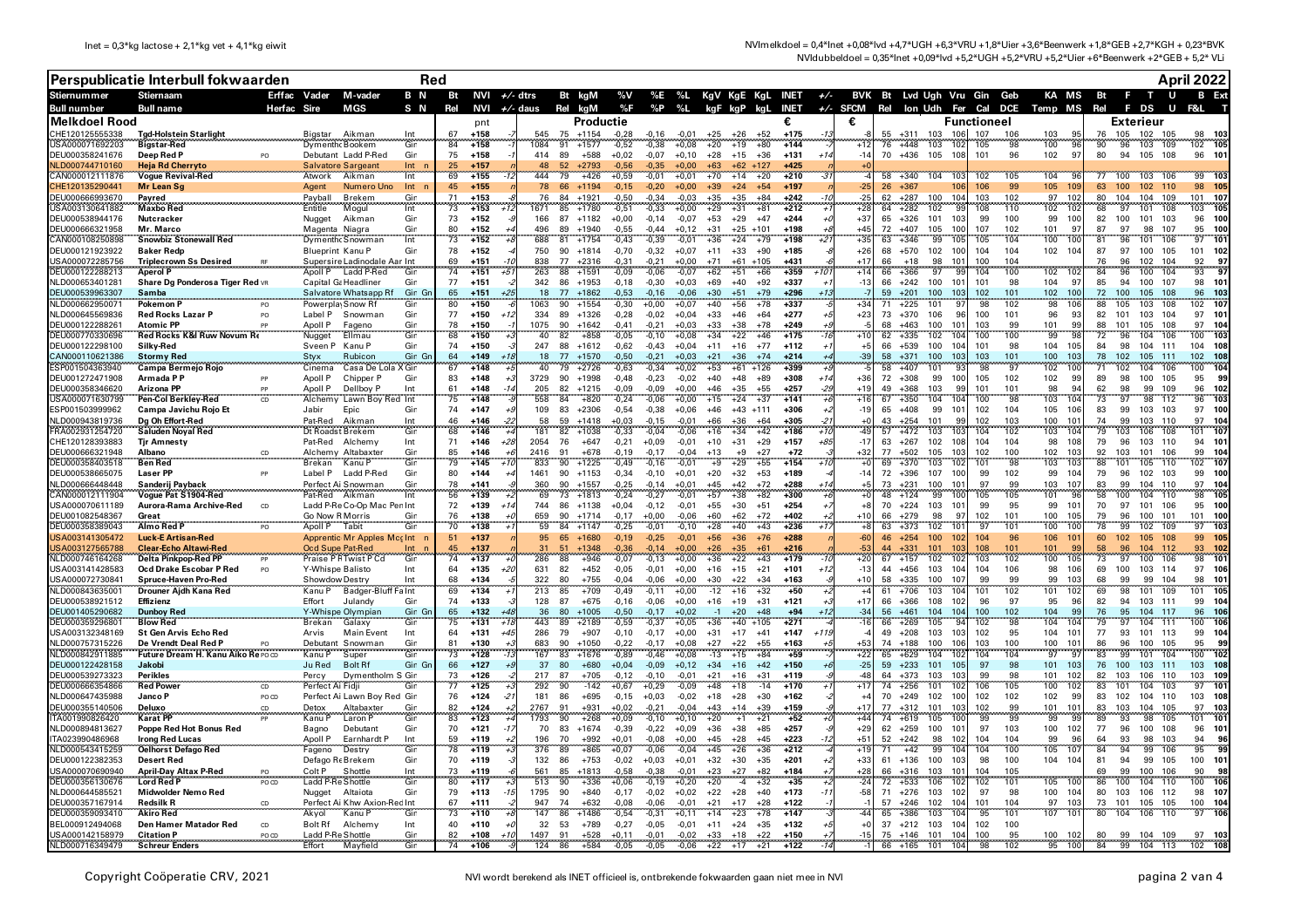|                                    | Perspublicatie Interbull fokwaarden                 | Red           |                                    |                                            |                         |          |                  |                     |                      |                      |                    |                    |                    |                |                                   |                  |        |                |          |                                                          |                 |                           |                 | April 2022                          |          |                                      |                    |                                 |
|------------------------------------|-----------------------------------------------------|---------------|------------------------------------|--------------------------------------------|-------------------------|----------|------------------|---------------------|----------------------|----------------------|--------------------|--------------------|--------------------|----------------|-----------------------------------|------------------|--------|----------------|----------|----------------------------------------------------------|-----------------|---------------------------|-----------------|-------------------------------------|----------|--------------------------------------|--------------------|---------------------------------|
| <b>Stiernummer</b>                 | <b>Stiernaam</b>                                    |               | Erffac Vader                       | M-vader                                    | B N                     | Bt       |                  | NVI $+/$ dtrs       |                      | Bt kgM               |                    |                    |                    |                |                                   |                  |        |                |          | %V %E %L KgV KgE KgL INET +/- BVK Bt Lvd Ugh Vru Gin Geb |                 |                           |                 | KA MS Bt                            |          | <b>E</b> T                           | <b>U</b>           |                                 |
| <b>Bull number</b>                 | <b>Bull name</b>                                    | Herfac        | Sire                               | MGS                                        | S N                     | Rel      | NVI              | $+/-$ daus          |                      | Rel kaM              | %F                 | %P                 | %L                 | kgF kgP kgL    |                                   | INET             |        |                |          | +/- SFCM Rel lon Udh Fer Cal DCE Temp MS Rel             |                 |                           |                 |                                     |          | F DS                                 | U                  |                                 |
| <b>Melkdoel Rood</b>               |                                                     |               |                                    |                                            | Int                     | 67       | pnt<br>$+158$    | 545                 | 75                   | Productie<br>$+1154$ |                    |                    |                    |                |                                   | €<br>$+175$      |        | €              |          | $+311$<br>103                                            | 106             | <b>Functioneel</b><br>107 | 106             | 103<br>95                           |          | <b>Exterieur</b><br>105              | 105                | -103                            |
| CHE120125555338<br>USA000071692203 | <b>Tgd-Holstein Starlight</b><br><b>Bigstar-Red</b> |               | Bigstar<br>Dymenth Bookem          | Aikman                                     | Gin                     | 84       | $+155$           | 084                 | 91                   | $+1577$              | $-0,28$<br>$-0,52$ | $-0,16$<br>$-0,38$ | $-0,01$<br>$+0,08$ | $+25$<br>$+20$ | $+26$<br>$+52$<br>$+19$<br>$+80$  | $+144$           |        | $+1^{\circ}$   | 55<br>76 | $+448$<br>103                                            | 102             | 105                       | 98              | 100<br>۰ä                           | 76<br>90 | 102<br>96<br>103                     | 109                | 98<br>102 105                   |
| DEU000358241676                    | Deep Red P                                          |               |                                    | Debutant Ladd P-Red                        | Gin                     | 75       | $+158$           | 414                 | 89                   | $+588$               | $+0,02$            | $-0,07$            | $+0,10$            | $+28$          | $+15$<br>$+36$                    | $+131$           |        | $-14$          | 70       | $+436$<br>105                                            | 108             | 101                       | 96              | 102<br>-97                          | 80       | 94                                   | 105 108            | 96 10                           |
| ILD000744710160                    | <b>Heja Rd Cherryto</b>                             |               | Salvatore Sargeant                 |                                            | Int                     | 25       | $+157$           |                     | 52                   | $+2793$              | $-0.56$            | $-0.35$            | 0.00+              | $+63$          |                                   | $+425$           |        |                |          |                                                          |                 |                           |                 |                                     |          |                                      |                    |                                 |
| AN000012111876:<br>CHE120135290441 | <b>Vogue Revival-Red</b><br>Mr Lean Sq              |               | Atwork<br>Aaent                    | Aikman<br>Numero Uno                       | Int<br>Int <sub>n</sub> | 69<br>45 | $+155$<br>$+155$ | 444                 | 79<br>78<br>66       | $+426$<br>$+1194$    | $+0,59$<br>$-0,15$ | $-0,01$<br>$-0,20$ | $+0,01$<br>$+0,00$ | $+70$<br>$+39$ | $+14$<br>$+20$<br>$+24$<br>$+54$  | $+210$<br>$+197$ |        | $-25$          | 58<br>26 | $+340$<br>104<br>$+367$                                  | 106             | 102<br>106                | 105<br>99       | 104<br>9<br>105<br>109              | 77<br>63 | 100<br>100                           | 103 106<br>102 110 | 99 10:<br>98 105                |
| DEU000666993670                    | Payred                                              |               | Payball                            | <b>Brekem</b>                              | Gin                     | 71       | $+153$           |                     | 76<br>84             | $+1921$              | $-0,50$            | $-0.34$            | $-0.03$            | $+35$          | $+35$<br>+84                      | $+242$           |        | $-2!$          |          | $+287$<br>100                                            | 104             | 103                       | 102             | 97<br>102                           | 80       | 104<br>104                           | 109                | 107<br>101                      |
| JSA003130641882                    | <b>Maxbo Red</b>                                    |               | Entitle                            | Mogul                                      | Int                     | 73       | $+153$           | 671                 | 85                   | $+1780$              | $-0,51$            | $-0,33$            | $+0,00$            | $+29$          | $+31$<br>$+81$                    | $+212$           |        | $+28$          | 64       | 102<br>$+282$                                            | 99              | 108                       | 110             | 102<br>102                          | 68       | 97<br>101                            | 108                | 105<br>103                      |
| DEU000538944176<br>DEU000666321958 | Nutcracker<br>Mr. Marco                             |               | Nugget<br>Magenta Niagra           | Aikman                                     | Gir<br>Gir              | 73<br>80 | $+152$<br>$+152$ | 166<br>496          | 89                   | 87 +1182<br>$+1940$  | $+0,00$<br>$-0.55$ | $-0,14$<br>$-0.44$ | $-0,07$<br>$+0.12$ | $+53$<br>$+31$ | $+29$<br>$+47$<br>$+25$<br>$+101$ | $+244$<br>$+198$ |        | $+37$<br>$+4!$ | 65<br>72 | $+326$<br>101<br>105<br>$+407$                           | 103<br>100      | 99<br>107                 | 100<br>102      | 99<br>100<br>97<br>101              | 82<br>87 | 100<br>97<br>98                      | 101 103<br>107     | 96<br>100<br>100<br>95          |
| AN000108250898                     | <b>Snowbiz Stonewall Red</b>                        |               |                                    | Dymenth Snowman                            | Int                     | 73       | $+152$           | 688                 | 81                   | $+1754$              | $-0,43$            | $-0.39$            | $-0.01$            | $+36$          | $+24$<br>$+79$                    | $+198$           | +2     | $+35$          | 63       | 99<br>$+346$                                             | 105             | 105                       | 104             | 100<br>100                          | 81       | 96<br>101                            | 106                | 97<br>101                       |
| DEU000121923922                    | Baker Redn                                          |               | <b>Blueprint Kanu P</b>            |                                            | Gir                     | 78       | $+152$           | 750                 | 90                   | $+1814$              | $-0.70$            | $-0,32$            | $+0,07$            | $+11$          | $+33$<br>$+90$                    | $+185$           |        | $+26$          | 68       | $+570$<br>102                                            | 100             | 104                       | 104             | 102<br>104                          | 87       | 97<br>100                            | 105                | 101<br>102                      |
| JSA000072285756<br>DEU000122288213 | <b>Triplecrown Ss Desired</b><br><b>Aperol P</b>    |               | Apoll P                            | Supersire Ladinodale Aar Int<br>Ladd P-Red | Gin                     | 69<br>74 | $+151$<br>$+151$ | 838<br>263<br>+5    | 77<br>88             | $+2316$<br>$+1591$   | $-0.31$<br>$-0,09$ | $-0.21$<br>$-0,06$ | $+0.00$<br>$-0,07$ | $+71$<br>$+62$ | $+61$<br>$+105$<br>$+51$<br>$+66$ | $+431$<br>$+359$ | $+10$  | $+17$<br>$+14$ | 66<br>66 | 98<br>$+18$<br>97<br>$+366$                              | 101<br>99       | 100<br>104                | 104<br>100      | 102<br>10                           | 76<br>84 | 102<br>96<br>96<br>100               | 104<br>104         | 92<br>97<br>93<br>97            |
| NLD000653401281                    | Share Dg Ponderosa Tiger Red VR                     |               | Capital G: Headliner               |                                            | Gin                     | 77       | $+151$           | 342                 | 86                   | $+1953$              | -0,18              | $-0,30$            | $+0,03$            | $+69$          | $+40$<br>$+92$                    | $+337$           |        | $-13$          | 66       | $+242$<br>100                                            | $10^{\circ}$    | 101                       | 98              | 104<br>-97                          | 85       | 100<br>94                            | 107                | 98<br>$10^{\circ}$              |
| DEU000539963307                    | Samba<br>                                           |               |                                    | Salvatore Whatsapp Rf                      | Gin Gr                  | 65       | $+151$           |                     | 77<br>18             | $+1862$              | $-0,53$            | $-0,16$            | $-0,06$            | $+30$          | $+51$<br>$+79$                    | $+296$           |        |                | 59       | $+201$<br>100                                            | 103             | 102                       | 101             | 102<br>100                          | 72       | 100<br>105                           | 108                | 96<br>103                       |
| JLD000662950071<br>NLD000645569836 | Pokemon P<br><b>Red Rocks Lazar P</b>               | PO            | Powerpla Snow Rf<br>Label P        | Snowman                                    | Gin<br>Gin              | 80<br>77 | $+150$<br>$+150$ | 1063<br>334         | 90<br>89             | $+1554$<br>$+1326$   | $-0,30$<br>$-0,28$ | +0,00<br>$-0,02$   | $+0,07$<br>$+0,04$ | $+40$<br>$+33$ | $+56$<br>$+78$<br>$+46$<br>$+64$  | $+337$<br>$+277$ |        | $+34$<br>$+23$ | 71<br>73 | 101<br>$+225$<br>$+370$<br>106                           | 97<br>96        | 98<br>100                 | 102<br>101      | 98<br>106<br>96<br>93               | 88<br>82 | 105<br>103<br>101<br>103             | 108<br>104         | 107<br>102<br>97<br>101         |
| DEU000122288261                    | <b>Atomic PF</b>                                    |               | Anoll P                            | Fageno                                     | Gir                     | 78       | $+150$           | 1075                | 90                   | $+1642$              | $-0.41$            | $-0.21$            | $+0.03$            | $+33$          | $+38$<br>$+78$                    | +249             |        |                | 68       | $+463$<br>100                                            | 10 <sup>1</sup> | 103                       | 99              | 101<br>99                           | 88       | 101<br>105                           | 108                | 97                              |
| EU000770330696                     | Red Rocks K&I Ruw Novum Re                          |               | Nugget                             | Ellmau                                     | Gin                     | 68       | $+150$           |                     | 40<br>82             | $+858$               | $-0,05$            | $-0,10$            | $+0,08$            | $+34$          | $+22$<br>$+46$                    | $+175$           |        | $+10$          | 62       | $+335$<br>102                                            |                 | 100                       | 100             | 99                                  | 72       | 104<br>96                            | 106                | 103<br>100                      |
| DEU000122298100<br>CAN000110621386 | Silky-Red                                           |               | Sveen P                            | Kanu P                                     | Gin<br>Gin Gn           | 74<br>64 | $+150$<br>$+149$ | 247                 | 88<br>77<br>18       | $+1612$<br>$+1570$   | $-0.62$<br>$-0.50$ | $-0.43$<br>$-0.21$ | $+0.04$<br>$+0.03$ | $+11$<br>$+21$ | $+77$<br>$+16$<br>$+36$<br>$+74$  | $+112$<br>$+214$ |        | $+5$<br>$-39$  | 66<br>58 | 100<br>$+539$<br>$+371$<br>100                           | 104<br>103      | 101<br>103                | 98<br>101       | 104<br>10!<br>100<br>103            | 84<br>78 | 98<br>104<br>102<br>105              | 111<br>111         | 104<br>108<br>102<br>108        |
| SP001504363940                     | <b>Stormy Red</b><br>Campa Bermejo Rojo             |               | Styx<br>Cinema                     | Rubicon<br>Casa De Lola X Gin              |                         | 67       | $+148$           |                     | 40<br>79             | $+2726$              | $-0.63$            | $-0.34$            | $+0.02$            | $+53$          | $+61$<br>$+126$                   | $+399$           |        |                | 58       | $+407$<br>101                                            | 93              | 98                        | 97              | 102<br>100                          | 71       | 102<br>104                           | 106                | 104<br>100                      |
| DEU001272471908                    | Armada P P                                          |               | Anoll P                            | Chipper P                                  | Gin                     | 83       | $+148$           | 3729                | 90                   | $+1998$              | $-0.48$            | $-0.23$            | $-0.02$            | $+40$          | $+48$<br>$+89$                    | $+308$           | $+14$  | $+36$          | 72       | 99<br>$+308$                                             | 100             | 105                       | 102             | 102<br>99                           | 89       | 100<br>98                            | 105                | 95<br>99                        |
| DEU000358346620<br>JSA000071630799 | Arizona PP<br>Pen-Col Berkley-Red CD                |               | Apoll P                            | Dellbov P<br>Lawn Boy Red Int              | Int                     | 61<br>75 | $+148$<br>$+148$ | 205<br>558          | 82<br>84             | $+1215$<br>$+820$    | $-0.09$<br>$-0,24$ | $-0.09$            | $+0.00$            | $+46$          | $+55$<br>$+35$<br>$+37$           | $+257$           | $-29$  | $+19$<br>$+16$ | 49       | $+368$<br>103<br>$+350$<br>104                           | 99              | 101<br>100                | 101<br>98       | 98<br>94<br>103<br>104              | 62       | 98<br>99<br>98<br>97                 | 109<br>112         | 96<br>102<br>96<br>10:          |
| ESP001503999962                    | Campa Javichu Rojo Et                               |               | Alchemy<br>Jabir                   | Epic                                       | Gir                     | 74       | $+147$           | 109                 | 83                   | $+2306$              | $-0.54$            | $-0,06$<br>$-0.38$ | $+0,00$<br>$+0.06$ | $+15$<br>$+46$ | $+24$<br>$+43$ $+111$             | $+141$<br>$+306$ |        | $-19$          | 67<br>65 | $+408$<br>99                                             | 101             | 102                       | 104             | 105<br>106                          | 73<br>83 | 99<br>103                            | 103                | 97<br>100                       |
| NLD000943819736                    | Dg Oh Effort-Red                                    |               | Pat-Red                            | Aikman                                     | Int<br>Gin              | 46       | +146             |                     | 59<br>58             | $+1418$              | $+0,03$            | $-0.15$            | $-0.01$            | +66            | $+36$<br>+64                      | +305             |        |                | 43       | $+254$<br>101                                            | 99              | 102                       | 103             | 100<br>10 <sup>7</sup>              | 74       | 99<br>103                            | 110                | 97<br>10                        |
| FRA002931254720                    | Saluden Noyal Red                                   |               | Dt Roadst Brekem                   |                                            |                         | 68       | $+146$           | 181                 | 82                   | $+1038$              | $-0,33$            | $-0,04$            | -0,06              | +16            | $+34$<br>$+42$                    | $+186$           |        | 49             | 57       | $+472$<br>103                                            | 103             | 104                       | 102             | 103<br>10                           | 79       | 106<br>103                           | 108                | 10<br>101                       |
| CHE120128393883<br>DEU000666321948 | <b>Tjr Amnesty</b><br>Albano                        |               | Pat-Red<br>Alchemy                 | Alchemy<br>Altabaxter                      | Int<br>Gin              | 71<br>85 | $+146$<br>$+146$ | 2054<br>+28<br>2416 | 76<br>91             | $+647$<br>$+678$     | $-0.21$<br>$-0.19$ | $+0,09$<br>$-0.17$ | $-0.01$<br>$-0.04$ | $+10$<br>$+13$ | $+31$<br>$+29$<br>$+9$<br>$+27$   | $+157$<br>$+72$  | +85    | $-17$<br>$+32$ | 63<br>77 | $+267$<br>102<br>$+502$<br>105                           | 108<br>103      | 104<br>102                | 104<br>100      | 98<br>108<br>102<br>103             | 79<br>92 | 96<br>103<br>103<br>101              | 110<br>106         | 94<br>$10^{\circ}$<br>99<br>104 |
| DEU000358403518                    | <b>Ben Red</b>                                      |               | <b>Brekan</b>                      | Kanu P                                     | Gin                     | 79       | $+145$           | 833<br>$+1$         | 90                   | $+1225$              | $-0,49$            | $-0,16$            | $-0,01$            | $+9$           | $+29$<br>$+55$                    | $+154$           | $+70$  |                | 69       | $+370$<br>103                                            | 102             | 101                       | 98              | 103<br>103                          | 88       | 101<br>105                           | 110                | 102<br>10 <sub>1</sub>          |
| DEU000538665075                    | <b>Laser PP</b>                                     |               | Label P                            | Ladd P-Red                                 | Gir                     | 80       | $+144$           | 1461                | 90                   | $+1153$              | $-0.34$            | $-0.10$            | $+0.01$            | $+20$          | $+32$<br>$+53$                    | $+189$           |        | $-14$          | 72       | $+396$<br>107                                            | 100             | 99                        | 102             | 99<br>104                           | 79       | 102<br>96                            | 103                | 99<br>100                       |
| NLD000666448448<br>CAN000012111904 | Sanderij Payback<br>Voque Pat S1904-Red             |               | Pat-Red                            | Perfect Ai Snowman<br>Aikman               | Gin<br>Int              | 78<br>56 | $+141$<br>$+139$ | 360                 | 90<br>69<br>73       | $+1557$<br>$+1813$   | $-0.25$<br>$-0,24$ | $-0.14$<br>$-0,27$ | $+0.01$<br>$-0,01$ | $+45$<br>$+57$ | $+42$<br>$+72$<br>$+38$<br>$+82$  | $+288$<br>$+300$ | $+14$  |                | 73<br>48 | $+231$<br>100<br>99<br>$+124$                            | 101<br>100      | 97<br>105                 | 99<br>105       | 103<br>107<br>101<br>$\overline{9}$ | 83<br>58 | 99<br>104<br>100<br>104              | 110<br>110         | 97<br>104<br>98<br>105          |
| USA000070611189                    | Aurora-Rama Archive-Red                             | <sub>CD</sub> |                                    | Ladd P-Re Co-Op Mac Pen Int                |                         | 72       | $+139$           |                     | 744<br>86            | $+1138$              | $+0.04$            | $-0.12$            | $-0.01$            | $+55$          | $+51$<br>$+30$                    | $+254$           |        |                | 70       | $+224$<br>103                                            | 101             | 99                        | 95              | 99<br>101                           | 70       | 97                                   | 101 106            | 95<br>100                       |
| DEU001082548367                    | Great<br>na mananana mana                           |               | Go Now R Morris                    |                                            | Gir                     | 76       | $+138$           | 659                 | 90                   | $+1714$              | $-0.17$            | $+0.00$            | $-0.06$            | $+60$          | $+62$<br>$+72$                    | +402             |        | $+10$          | 66       | $+279$<br>98                                             | 97              | 102                       | 101             | 100<br>105                          | 79       | 96<br>100                            | 101                | 101<br>100                      |
| DEU000358389043<br>USA003141305472 | Almo Red F<br><b>Luck-E Artisan-Red</b>             |               | Apoll P                            | Tabit<br>Apprentic Mr Apples Mcc Int n     | Gin                     | 70<br>51 | $+138$<br>$+137$ |                     | 59<br>84<br>65<br>95 | $+1147$<br>$+1680$   | $-0.25$<br>$-0.19$ | $-0.01$<br>$-0,25$ | $-0.10$<br>$-0.01$ | $+28$<br>$+56$ | $+40$<br>$+43$<br>$+36$<br>$+76$  | $+236$<br>$+288$ |        | $-60$          | 63<br>46 | 102<br>$+373$<br>100<br>$+254$                           | 102             | 97<br>104                 | 101<br>96       | 100<br>100<br>106<br>$10^{1}$       | 78<br>60 | 99<br>102<br>102 <sub>2</sub><br>105 | 109<br>108         | 103<br>97<br>99<br>105          |
| JSA003127565788                    | <b>Clear-Echo Altawi-Red</b>                        |               | Ocd Supe Pat-Red                   |                                            |                         | 4F       | +137             |                     |                      | 1348                 | $-0,36$            | $-0.14$            | $+0,00$            | $+26$          | $+35$                             | $+216$           |        |                |          | 101                                                      |                 | 108                       | 10 <sup>1</sup> | $101$<br>$\mathbf{Q}$               |          | 96<br>104                            | 112                | 93<br>102                       |
| NLD000746164268                    | Delta Pinkpop-Red PP                                |               |                                    | Praise P F Twist P Cd                      | Gir                     | 74       | +137             | 286                 | 88                   | $+946$               | $-0,07$            | -0,13              | $+0,00$            | +36            | $+22$<br>$+43$                    | $+179$           |        | $+2$           | 67       | $+157$<br>102                                            | 102             | 103                       | 102             | 100<br>10                           | 73       | 100<br>97                            | 106                | 101<br>98                       |
| USA003141428583<br>USA000072730841 | Ocd Drake Escobar P Red<br>Spruce-Haven Pro-Red     | PO            | Y-Whispe Balisto<br>Showdow Destry |                                            | Int<br>Int              | 64<br>68 | $+135$<br>$+134$ | 631<br>+21<br>322   | 82<br>80             | $+452$<br>$+755$     | $-0,05$<br>$-0,04$ | $-0,01$<br>$-0,06$ | $+0,00$<br>$+0.00$ | $+16$<br>$+30$ | $+15$<br>$+21$<br>$+22$<br>⊥34    | $+101$<br>$+163$ |        | $-13$<br>$+10$ | 44<br>58 | $+456$<br>103<br>$+335$<br>100                           | 104<br>107      | 104<br>99                 | 106<br>99       | 98<br>106<br>10 <sup>2</sup><br>99  | 69<br>68 | 100<br>103<br>99<br>۹Q               | 114<br>104         | 97<br>106<br>98<br>101          |
| NLD000843635001                    | Drouner Ajdh Kana Red                               |               | Kanu P                             | Badger-Bluff Fa Int                        |                         | 69       | $+134$           | 213                 | 85                   | $+709$               | $-0,49$            | $-0,11$            | $+0,00$            | $-12$          | $+16$<br>$+32$                    | $+50$            |        |                | 61       | $+706$<br>103                                            |                 | 101                       | 102             | 101<br>102                          | 69       | 101                                  | 109                | 101                             |
| DEU000538921512                    | Effizienz                                           |               | Effort                             | Julandy                                    | Gir                     | 74       | $+133$           | 128                 | 87                   | $+675$               | $-0,16$            | $-0,06$            | $+0,00$            | $+16$          | $+19$<br>$+31$                    | $+121$           |        | $+17$          | 66       | $+366$<br>108                                            | 102             | 96                        | 97              | 95<br>96                            | 82       | 94<br>103                            | 111                | 99<br>10 <sub>1</sub>           |
| DEU001405290682<br>DEU000359296801 | <b>Dunboy Red</b><br><b>Blow Red</b>                |               | Y-Whispe Olympiar<br>Brekan        | Galaxy                                     | Gin Gn<br>Gin           | 65<br>75 | +132<br>$+131$   | 443                 | 80<br>36<br>89       | $+1005$<br>$+2189$   | $-0,50$<br>$-0,59$ | $-0,17$<br>$-0,37$ | $+0.02$<br>$+0,05$ | $-1$<br>$+36$  | $+20$<br>$+48$<br>$+40$<br>$+105$ | $+94$<br>$+271$  | +12    | -34<br>$-16$   | 56<br>66 | $+461$<br>104<br>$+269$<br>105                           | 104             | 100<br>102                | 102<br>98       | 104<br>9 <sup>c</sup><br>104<br>10  | 76<br>79 | 95<br>97<br>104                      | 104 117<br>111     | 96<br>106<br>100                |
| USA003132348169                    | <b>St Gen Arvis Echo Red</b>                        |               | Arvis                              | <b>Main Event</b>                          | Int                     | 64       | $+131$           | 286<br>$+4!$        | 79                   | $+907$               | $-0.10$            | $-0.17$            | $+0.00$            | $+31$          | $+17$<br>$+41$                    | $+147$           | $+11!$ |                |          | $49 + 208$<br>103                                        | 103             | 102                       | 95              | 104<br>10 <sup>°</sup>              | 77       | 93                                   | 101 113            | 99<br>104                       |
| VLD000757315226                    | De Vrendt Deal Red P                                |               |                                    | Debutant Snowman                           | Gir                     | 81       | $+130$           | 683                 | 90                   | $+1050$              | $-0.22$            | $-0.17$            | $+0.08$            | $+27$          | $+22$<br>$+55$                    | $+163$           |        | $+53$          | 74       | $+188$<br>100                                            | 10f             | 103                       | 100             | 100<br>101                          | 86       | 96<br>100                            | 105                | 95<br>99                        |
| NLD000842911885<br>DEU000122428158 | Future Dream H. Kanu Aiko Re POCD<br>Jakobi         |               | Kanu P<br>Ju Red                   | Super<br><b>Bolt Rf</b>                    | Gin<br>Gin Gn           | 73<br>66 | $+128$<br>$+127$ | 167                 | 83<br>37<br>80       | $+1676$<br>$+680$    | $-0.89$<br>$+0.04$ | $-0.46$<br>$-0.09$ | $+0.08$<br>$+0,12$ | $-13$<br>$+34$ | $+15$<br>$+84$<br>$+16$<br>$+42$  | $+59$<br>$+150$  |        | $+22$<br>$-25$ | 65<br>59 | $+629$<br>104<br>$+233$<br>101                           | 102<br>105      | 104<br>97                 | 104<br>98       | 97<br>-97<br>103<br>101             | 83<br>76 | 99<br>101<br>100                     | 104<br>103 111     | 102<br>100<br>103<br>108        |
| DEU000539273323                    | Perikles                                            |               | Percy                              | Dymentholm S Gin                           |                         | 73       | $+126$           | 217                 | 87                   | $+705$               | $-0,12$            | $-0,10$            | $-0.01$            | $+21$          | $+31$<br>$+16$                    | $+119$           |        | $-4s$          | 64       | 103<br>$+373$                                            | 10 <sup>5</sup> | 99                        | 98              | 101<br>10                           | 82       | 103<br>106                           | 110                | 103<br>109                      |
| DEU000666354866                    | <b>Red Power</b>                                    | CD            | Perfect Ai Fidji                   |                                            | Gir                     | 77       | $+125$           | 292                 | 90                   | $-142$               | $+0,67$            | $+0,29$            | -0,09              | $+48$          | $-14$<br>$+18$                    | $+170$           |        | $+17$          | 74       | 101<br>$+256$                                            | 102             | 106                       | 105             | 100<br>10                           | 83       | 104<br>101                           | 103                | $10^{\circ}$<br>97              |
| NLD000647435988<br>DEU000355140506 | Janco P                                             | PO CD         | Detox                              | Perfect Ai Lawn Boy Red Gin                | Gir                     | 76<br>82 | $+124$<br>$+124$ | 181<br>-2<br>2767   | 86<br>91             | $+695$<br>$+931$     | $-0,15$            | $+0,03$<br>$-0,21$ | $-0,02$<br>$-0.04$ | $+18$<br>$+43$ | $+28$<br>$+30$<br>$+14$<br>$+39$  | $+162$<br>$+159$ |        | $+17$          | 70<br>77 | $+249$<br>102<br>$+312$<br>101                           | 100<br>103      | 102                       | 102<br>99       | 102<br>- 99<br>101<br>101           | 83<br>83 | 102<br>103                           | 104 110<br>104 105 | 103<br>108<br>97<br>- 103       |
| ITA001990826420                    | Deluxo<br><b>Karat PP</b>                           | CD            | Kanu P                             | Altabaxter<br>Laron P                      | Gin                     | 83       | $+123$           | 1793                | 90                   | $+268$               | $+0,02$<br>$+0,09$ | $-0,10$            | +0,10              | $+20$          | $+21$<br>$+1$                     | $+52$            |        | $+44$          | 74       | $+619$<br>105                                            | 100             | 102<br>99                 | 99              | 99<br>99                            | 89       | 93<br>98                             | 105                | 101<br>$10^{\circ}$             |
| NLD000894813627                    | Poppe Red Hot Bonus Red                             |               | Bagno                              | Debutant                                   | Gin                     | 70       | $+121$           |                     | 70<br>83             | $+1674$              | $-0,39$            | $-0,22$            | $+0.09$            | $+36$          | $+38$<br>$+85$                    | $+257$           |        | +29            | 62       | $+259$<br>100                                            | 101             | 97                        | 103             | 100<br>102                          | 77       | 96<br>100                            | 108                | 96<br>$10^{\circ}$              |
| ITA023990486968<br>NLD000543415259 | <b>Irong Red Lucas</b>                              |               | Apoll P                            | Earnhardt P                                | Int<br>Gin              | 59<br>78 | $+119$<br>$+119$ | 196                 | 70<br>89<br>376      | +992                 | $+0,01$            | $-0,08$            | $+0.00$            | $+45$          | $+28$<br>$+45$                    | $+223$<br>$+212$ |        | $+51$<br>$+19$ | 52       | $+242$<br>98<br>99                                       | 102<br>104      | 104<br>104                | 104<br>100      | 99<br>96<br>105<br>107              | 64<br>84 | 93<br>98<br>94<br>99                 | 103<br>106         | 94<br>96<br>95<br>g,            |
| DEU000122382353                    | <b>Oelhorst Defago Red</b><br><b>Desert Red</b>     |               | Fageno<br>Defago Re Brekem         | Destry                                     | Gin                     | 70       | $+119$           |                     | 132<br>86            | $+865$<br>$+753$     | $+0,07$<br>$-0,02$ | $-0,06$<br>$+0,03$ | $-0,04$<br>$+0,01$ | $+45$<br>$+32$ | $+26$<br>$+36$<br>$+30$<br>$+35$  | $+201$           |        | $+33$          |          | $+42$<br>$61 + 136$<br>100                               | 103             | 98                        | 100             | 104 104                             | 81       | 94<br>99                             | 105                | 100<br>101                      |
| JSA000070690940                    | <b>April-Day Altax P-Red</b>                        |               | Colt P                             | Shottle                                    | Int                     | 73       | $+119$           | 561                 | 85                   | $+1813$              | $-0,58$            | $-0,38$            | $-0,01$            | $+23$          | $+27$<br>+82                      | $+184$           |        | $+28$          | 66       | $+316$<br>103                                            | 101             | 104                       | 105             |                                     | 69       | 99<br>100                            | 106                | 90                              |
| DEU000356130676                    | <b>Lord Red P</b>                                   | PO CD         | Ladd P                             | Shottle                                    | Gin                     | 80       | $+117$           | 513                 | 90                   | $+336$               | $+0.06$            | $-0,19$            | $+0.20$            | $+20$          | $-4$<br>+32                       | $+35$            |        | $-24$          | 72       | 106<br>$+533$                                            | 102             | 102                       | 101             | 105<br>100                          | 86       | 100<br>104                           | 110                | 100<br>106                      |
| NLD000644585521<br>DEU000357167914 | Midwolder Nemo Red<br><b>Redsilk R</b>              | CD            | Nugget                             | Altaiota<br>Perfect Ai Khw Axion-Red Int   | Gin                     | 79<br>67 | $+113$<br>$+111$ | 1795<br>947         | 90<br>74             | $+840$<br>$+632$     | $-0.17$<br>$-0.08$ | $-0.02$<br>$-0.06$ | $+0.02$<br>$-0.01$ | $+22$<br>$+21$ | $+28$<br>$+40$<br>$+17$<br>$+28$  | $+173$<br>$+122$ | $-11$  | $-58$          | 57       | $71 + 276$<br>103<br>$+246$<br>102                       | 102<br>104      | 97<br>101                 | 98<br>104       | 100<br>104<br>97<br>103             | 80<br>73 | 103<br>101                           | 106 112<br>105 105 | 98<br>107<br>100<br>104         |
| DEU000359093410                    | Akiro Red                                           |               | Akyol                              | Kanu P                                     | Gir                     | 73       | $+110$           | 147                 | 86                   | $+1486$              | $-0,54$            | $-0,31$            | $+0,11$            | $+14$          | $+23$<br>$+78$                    | $+147$           |        | $-44$          | 65       | $+386$<br>103                                            | 104             | 95                        | 101             | 107<br>101                          | 80       | 104<br>106                           | 110                | 97                              |
| BEL000912494068                    | Den Hamer Matador Red                               | CD            | <b>Bolt Rf</b>                     | Alchemy                                    | Int                     | 40       | $+110$           |                     | 32<br>53             | $+789$               | $-0,27$            | $-0,05$            | $-0.01$            | $+11$          | $+24$<br>$+35$                    | $+132$           |        | $+$            | 37       | 103<br>$+212$                                            | 104             | 102                       | 100             |                                     |          |                                      |                    |                                 |
| USA000142158979<br>NLD000716349479 | <b>Citation P</b><br><b>Schreur Enders</b>          | PO CD         | Ladd P-Re Shottle<br>Effort        | Mayfield                                   | Gir<br>Gin              | 82<br>74 | $+108$<br>$+106$ | 1497<br>124         | 91<br>86             | $+528$<br>$+584$     | $+0,11$<br>$-0,05$ | $-0,01$<br>$-0,05$ | $-0,02$<br>$-0,06$ | $+33$<br>$+22$ | $+18$<br>$+22$<br>$+17$<br>$+21$  | $+150$<br>$+122$ |        | $-15$          | 66       | 101<br>75 +146<br>$+165$<br>101                          | 104<br>104      | 100<br>98                 | 95<br>102       | 100 102<br>95<br>100                | 80<br>84 | 99 104 109<br>99                     | 104 113            | 97 103<br>102 108               |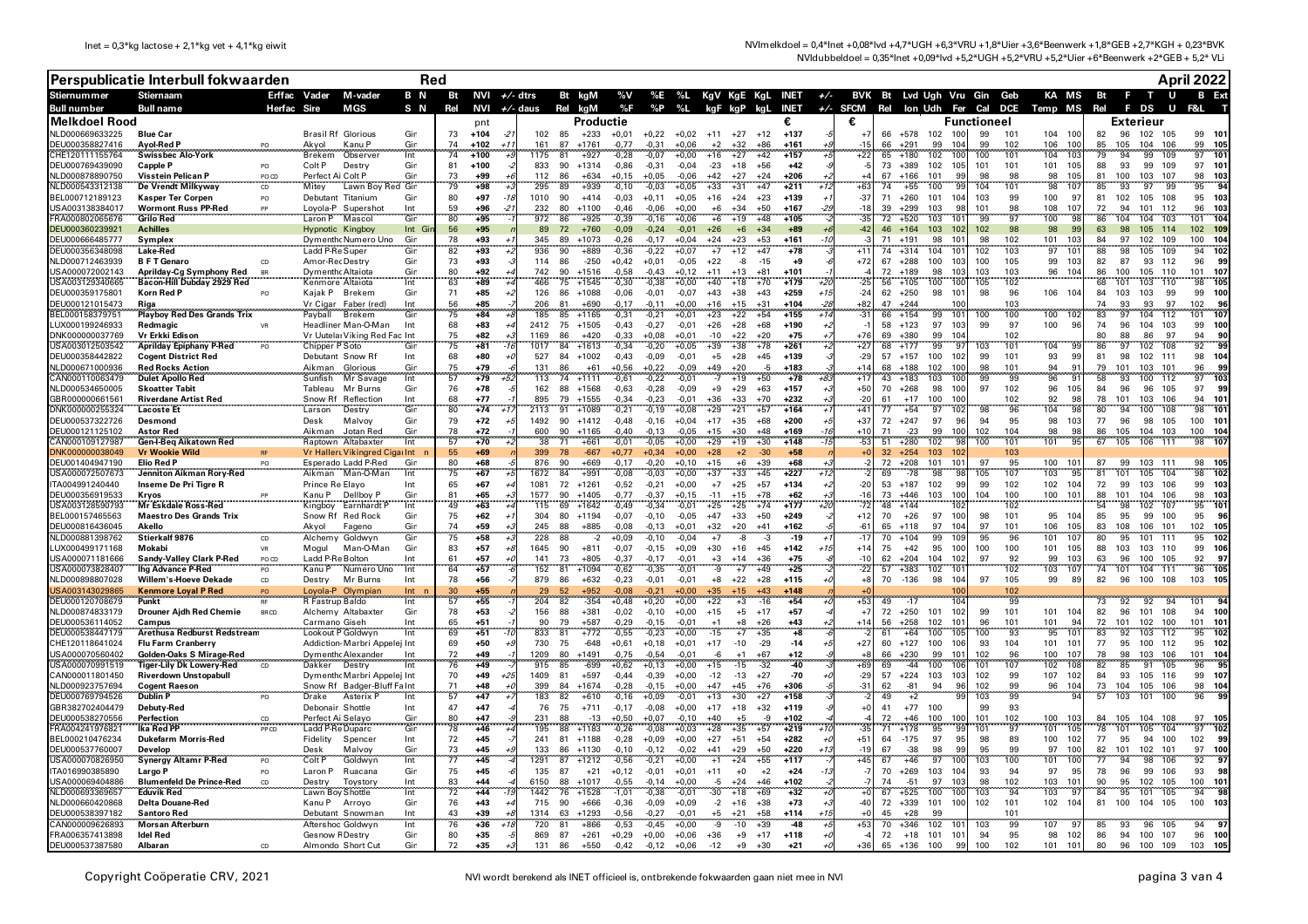NVImelkdoel = 0,4\*lnet +0,08\*lvd +4,7\*UGH +6,3\*VRU +1,8\*Uier +3,6\*Beenwerk +1,8\*GEB +2,7\*KGH + 0,23\*BVK NVIdubbeldoel = 0,35\*lnet +0,09\*lvd +5,2\*UGH +5,2\*VRU +5,2\*Uier +6\*Beenwerk +2\*GEB + 5,2\* VLi

|                                    | Perspublicatie Interbull fokwaarden                      |             |                                       | Red                              |            |          |                   |       |              |                                |                      |                    |                    |                                  |                                |                                                          |                | <b>April 2022</b> |                                |                       |                          |            |                                                        |          |                              |                                       |
|------------------------------------|----------------------------------------------------------|-------------|---------------------------------------|----------------------------------|------------|----------|-------------------|-------|--------------|--------------------------------|----------------------|--------------------|--------------------|----------------------------------|--------------------------------|----------------------------------------------------------|----------------|-------------------|--------------------------------|-----------------------|--------------------------|------------|--------------------------------------------------------|----------|------------------------------|---------------------------------------|
| <b>Stiernummer</b>                 | <b>Stiernaam</b>                                         |             | Erffac Vader                          | M-vader                          | B N        |          | Bt NVI $+/-$ dtrs |       |              | Bt kgM                         |                      |                    |                    |                                  |                                | %V %E %L KgV KgE KgL INET +/- BVK Bt Lvd Ugh Vru Gin Geb |                |                   |                                |                       |                          |            |                                                        |          | KA MS Bt F T U               | <b>B</b> Ext                          |
| <b>Bull number</b>                 | <b>Bull name</b>                                         | Herfac Sire |                                       | MGS                              | S N        | Rel      |                   |       |              | NVI $+/$ - daus Rel kgM        | %F                   |                    | %P %L              | kgF kgP kgL                      |                                |                                                          | €              |                   |                                |                       |                          |            | INET +/- SFCM Rel lon Udh Fer Cal DCE Temp MS Rel F DS |          |                              | U F&L                                 |
| Melkdoel Rood<br>NLD000669633225   | <b>Blue Car</b>                                          |             | <b>Brasil Rf Glorious</b>             |                                  | Gin        | 73       | nnt<br>$+104$     |       | 102          | $+233$<br>85                   | Productie<br>$+0,01$ | $+0,22$            | $+0.02$            | $+11$<br>$+27$                   | $+12$                          | €<br>$+137$                                              |                | 66                | $+578$<br>102                  |                       | <b>Functioneel</b><br>99 | 101        | 104 100                                                | 82       | Exterieur<br>96<br>102 105   | 99<br>101                             |
| DEU000358827416                    | Ayol-Red P                                               |             | Akyol                                 | Kanu P                           | Gin        | 74       | $+102$            | $+1$  | 161          | 87<br>$+1761$                  | $-0.77$              | $-0.31$            | $+0.06$            | $+2$<br>$+32$                    | $+86$                          | $+16'$                                                   | $-15$          | 66                | $+291$<br>99                   | 104                   | 99                       | 102        | 100<br>106                                             | 85       | 105<br>104                   | 106<br>99<br>105                      |
| CHE120111155764                    | <b>Swissbec Alo-York</b>                                 |             | <b>Brekem</b>                         | Observer                         | Int        | 74       | $+100$            |       | 1175         | $-81$<br>$+927$                | $-0.28$              | $-0.07$            | $+0.00$            | $+16$<br>$+27$                   | $+42$                          | $+157$                                                   | $+22$          | 65                | 102<br>$+180$                  |                       | 100                      | 101        | 104<br>10:                                             | 79       | 94<br>99                     | 109<br>97<br>101                      |
| DEU000769439090<br>NLD000878890750 | <b>Capple P</b><br>Visstein Pelican P                    | PO<br>PO CD | Colt P<br>Perfect Ai Colt P           | Destry                           | Gin<br>Gin | 81<br>73 | $+100$<br>$+99$   |       | 833<br>112   | 90<br>$+1314$<br>86<br>$+634$  | $-0.86$<br>$+0.15$   | $-0.31$<br>$+0.05$ | $-0.04$<br>$-0.06$ | $-23$<br>$+18$<br>$+42$<br>$+27$ | $+56$<br>$+24$                 | $+42$<br>$+206$                                          | -5             | 73 +389<br>67     | 102<br>$+166$<br>101           | 105<br>99             | 101<br>98                | 101<br>98  | 101<br>105<br>98<br>105                                | 88<br>81 | 93<br>99<br>100<br>103 107   | 109<br>97 101<br>98<br>103            |
| JLD000543312138                    | De Vrendt Milkyway                                       | CD          | Mitev                                 | Lawn Boy Red Gin                 |            | 79       | $+98$             |       | 295          | 89<br>$+939$                   | $-0.10$              | $-0.03$            | $+0.05$            | $+33$<br>$+31$                   | $+47$                          | $+211$                                                   | $+63$          | 74                | 100<br>$+55$                   |                       | 104                      | 101        | 98<br>107                                              | 85       | 93<br>97                     | 95<br>99<br>94                        |
| BEL000712189123                    | <b>Kasper Ter Corpen</b>                                 | PO          | Debutant                              | Titanium                         | Gin        | 80       | $+97$             |       | 1010         | 90<br>$+414$                   | $-0.03$              | $+0.11$            | $+0.05$            | $+16$<br>$+24$                   | $+23$                          | $+139$                                                   | $-37$          | 71                | $+260$<br>101                  | 104                   | 103                      | 99         | 100<br>9                                               | 81       | 102<br>105                   | 103<br>108<br>95                      |
| JSA003138384017<br>RA000802065676  | <b>Wormont Russ PP-Red</b><br>Grilo Red                  |             | Laron P                               | Lovola-P Supershot<br>Mascol     | Int<br>Gin | 59<br>80 | +96<br>+95        |       | 232<br>972   | 80<br>$+1100$<br>86<br>$+925$  | $-0.46$<br>$-0.39$   | $-0.06$<br>$-0,16$ | $+0.00$<br>$+0.06$ | $+6$<br>$+34$<br>$+6$<br>$+19$   | $+50$<br>$+48$                 | $+167$<br>$+105$                                         | $-18$<br>$-35$ | 39<br>72          | $+299$<br>103<br>103<br>$+520$ | 10                    | 101<br>99                | 98<br>97   | 107<br>108<br>100<br>98                                | 72<br>86 | 94<br>101<br>104<br>104      | 112<br>103<br>96<br>104<br>103<br>101 |
| DEU000360239921                    | <b>Achilles</b>                                          |             | Hypnotic Kingboy                      |                                  | Int Gi     | 56       | $+95$             |       | 89           | 72<br>$+760$                   | $-0,09$              | $-0,24$            | $-0.01$            | $+26$                            | $+6$<br>$+34$                  | $+89$                                                    | $-42$          | 46                | $+164$<br>103                  | 102                   | 102                      | 98         | 98<br>99                                               | 63       | 98<br>105                    | 114<br>102<br>10 <sup>1</sup>         |
| DEU000666485777                    | Symplex                                                  |             |                                       | Dymenth Numero Uno               | Gin<br>Gin | 78       | +93               |       | 345          | 89<br>$+1073$                  | $-0,26$              | $-0,17$            | $+0,04$            | +24<br>+23                       | +53                            | +161                                                     |                | 71                | $+191$<br>98                   | 10 <sup>1</sup>       | 98                       | 102        | 101<br>103                                             | 84       | 97<br>102                    | 109<br>100<br>104                     |
| EU000356348098<br>NLD000712463939  | Lake-Red<br><b>BFT</b> Genaro                            |             | Ladd P-Re Super<br>Amor-Rec Destry    |                                  | Gin        | 82<br>73 | $+93$<br>$+93$    |       | 936<br>114   | 90<br>+889<br>86<br>$-250$     | $-0,36$<br>$+0,42$   | $-0,22$<br>$+0,01$ | $+0,07$<br>$-0,05$ | $+7$<br>$+12$<br>$+22$           | $+47$<br>-8<br>$-15$           | $+78$<br>+9                                              | $+72$          | 74<br>67          | 104<br>$+314$<br>$+288$<br>100 | 101<br>103            | 102<br>100               | 103<br>105 | 97<br>10 <sup>1</sup><br>99<br>103                     | 88<br>82 | 98<br>105<br>87<br>93        | 109<br>94<br>102<br>112<br>96<br>99   |
| USA000072002143                    | Aprilday-Cg Symphony Red                                 |             | <b>Dymenth</b> Altaiota               |                                  | Gin        | 80       | $+92$             |       | 742          | 90<br>$+1516$                  | $-0,58$              | $-0.43$            | $+0.12$            | $+11$<br>$+13$                   | $+81$                          | $+101$                                                   |                | 72                | $+189$<br>98                   | 103                   | 103                      | 103        | 104<br>96                                              | 86       | 100<br>105                   | 110<br>101<br>107                     |
| JSA003129340665                    | Bacon-Hill Dubday 2929 Red                               |             | Kenmore Altaiota                      |                                  | Int        | 63       | $+89$             |       | 466          | 75<br>$+1545$                  | $-0,30$              | $-0.38$            | $+0.00$            | $+40$<br>$+18$                   | $+70$                          | $+179$                                                   | $-25$          | 56                | $+105$<br>100                  | 100                   | 105                      | 102        |                                                        | 68       | 101<br>103                   | 105<br>110<br>98                      |
| DEU000359175801<br>DEU000121015473 | Korn Red P                                               |             | Kajak P                               | Brekem                           | Gin<br>Int | 71<br>56 | $+85$<br>+85      |       | 126<br>206   | 86<br>$+1088$<br>81<br>$+690$  | $-0.06$<br>$-0.17$   | $-0,01$<br>$-0.11$ | $-0.07$<br>$+0.00$ | $+43$<br>$+38$<br>$+16$<br>$+15$ | $+43$<br>$+31$                 | $+259$<br>$+104$                                         | $-24$<br>$+82$ | 62<br>47          | $+250$<br>98<br>$+244$         | $10^{\circ}$          | 98                       | 96<br>103  | 106 104                                                | 84<br>74 | 103<br>103<br>93<br>93       | 99<br>99<br>100<br>97<br>102<br>96    |
| EL000158379751                     | Riga<br>Playboy Red Des Grands Trix                      |             | Vr Cigar<br>Payball                   | Faber (red)<br>Brekem            | Gin        | 75       | $+84$             |       | 185          | 85<br>$+1165$                  | 0.31                 | $-0.21$            | $+0.01$            | $+23$                            | $+22$<br>$+54$                 | $+155$                                                   | $-31$          | 66                | $+154$<br>99                   | 10                    | 100                      | 100        | 100<br>10                                              | 83       | 97<br>104                    | 107<br>112<br>101                     |
| UX000199246933                     | Redmagic                                                 |             |                                       | Headliner Man-O-Man              | Int        | 68       | $+83$             |       | 2412         | 75<br>$+1505$                  | $-0.43$              | $-0.27$            | $-0.01$            | $+26$<br>$+28$                   | $+68$                          | $+190$                                                   |                | 58                | $+123$<br>97                   | 103                   | 99                       | 97         | 100<br>96                                              | 74       | 96<br>104                    | 103<br>99<br>100                      |
| DNK000000037769                    | Vr Erkki Edison                                          |             |                                       | Vr Uutelai Viking Red Fac Int    |            | 75       | +82               |       | 1169         | 86<br>$+420$                   | $-0.33$              | $+0.08$            | $+0.01$            | $-10$<br>$+22$                   | $+20$                          | $+75$                                                    | $+76$          | 69                | $+380$<br>99                   | 104                   |                          | 102        |                                                        | 80       | 88<br>86                     | 97<br>94<br>90                        |
| JSA003012503542<br>DEU000358442822 | Aprilday Epiphany P-Red<br><b>Cogent District Red</b>    |             | Chipper P Soto<br>Debutant Snow Rf    |                                  | Gin<br>Int | 75<br>68 | $+81$<br>$+80$    |       | 1017<br>527  | 84<br>$+1613$<br>84<br>$+1002$ | $-0.34$<br>$-0.43$   | $-0.20$<br>$-0.09$ | $+0.05$<br>$-0.01$ | $+39$<br>$+38$<br>$+28$<br>$+5$  | $+78$<br>$+45$                 | $+261$<br>$+139$                                         | $+27$<br>$-29$ | 68<br>$57 + 157$  | 99<br>$+177$<br>100            | -97<br>102            | 103<br>99                | 101<br>101 | 104<br>99<br>93<br>99                                  | 86<br>81 | 97<br>102<br>98<br>102       | 92<br>99<br>108<br>111<br>98<br>104   |
| VLD000671000936                    | <b>Red Rocks Action</b>                                  |             | Aikman                                | Glorious                         | Gin        | 75       | $+79$             |       | 131          | 86<br>+61                      | $+0,56$              | $+0,22$            | $-0,09$            | $+49$<br>$+20$                   | -5                             | $+183$                                                   | $+14$          | 68                | $+188$<br>102                  | 100                   | 98                       | 101        | $\frac{94}{96}$<br>$\mathbf{q}$                        | 79       | 103<br>101                   | 101<br>96<br>-99                      |
| AN000110063479                     | <b>Dulet Apollo Red</b>                                  |             | Sunfish                               | Mr Savage                        | Int        | <br>57   | $+79$             |       | 113          | 74 +1111                       | -0.61                | $-0.22$            | -0.01              | $-7$<br>$+19$                    | $+50$                          | $+78$                                                    | $+17$          | 43                | $+183$<br>103                  | 100                   | 99                       | .<br>وو    | g.                                                     | 58       | 93<br>100                    | 112<br>103<br>97                      |
| NLD000534650005<br>GBR000000661561 | <b>Skoatter Tabit</b><br><b>Riverdane Artist Red</b>     |             | Tableau<br>Snow Rf                    | Mr Burns<br>Reflection           | Gin<br>Int | 76<br>68 | $+78$<br>$+77$    |       | 162<br>895   | 88<br>$+1568$<br>79<br>$+1555$ | $-0.63$<br>$-0.34$   | $-0,28$<br>$-0.23$ | $-0.09$<br>$-0.01$ | $+9$<br>$+29$<br>$+36$<br>$+33$  | $+63$<br>$+70$                 | $+157$<br>$+232$                                         | $+50$<br>$-20$ | 70<br>61          | $+268$<br>98<br>100<br>$+17$   | 100<br>100            | 97                       | 102<br>102 | 96<br>105<br>92<br>98                                  | 84<br>78 | 96<br>96<br>101<br>103       | 105<br>97<br>- 99<br>106<br>94<br>101 |
| DNK000000255324                    | <b>Lacoste Et</b>                                        |             | Larson                                | Destry                           | Gin        | 80       | $+74$             |       | 2113         | $+1089$<br>-91                 | $-0,21$              | $-0,19$            | $+0,08$            | $+29$<br>$+21$                   | $+57$                          | $+164$                                                   | $+41$          | 77                | $+54$<br>97                    | 102                   | -98                      | 96         | 104<br><b>gs</b>                                       | 80       | 94<br>100                    | 108<br>101<br>98                      |
| DEU000537322726                    | Desmond                                                  |             | Desk                                  | Malvoy                           | Gin        | 79       | $+72$             |       | 1492         | 90<br>$+1412$                  | $-0.48$              | $-0,16$            | $+0.04$            | $+17$<br>$+35$                   | $+68$                          | $+200$                                                   | $+37$          | 72                | $+247$<br>97                   | 96                    | 94                       | 95         | 98<br>103                                              | 77       | 96<br>98                     | 105<br>100<br>101                     |
| DEU000121125102<br>CAN000109127987 | <b>Astor Red</b>                                         |             | Aikman                                | Jotan Red<br>Raptown Altabaxter  | Gin<br>Int | 78<br>57 | $+72$<br>$+70$    |       | 600<br>38    | 90<br>$+1165$<br>71<br>$+661$  | $-0,40$<br>$-0,01$   | $-0,13$<br>$-0,05$ | $-0,05$<br>$+0,00$ | $+15$<br>$+29$                   | $+30$<br>$+48$<br>$+30$        | $+169$<br>$+148$                                         | $+10$<br>$-53$ | 71<br>51          | $-23$<br>99<br>$+280$<br>102   | 100                   | 102<br>100               | 104<br>101 | 98<br>98<br>101<br>95                                  | 86<br>67 | 105<br>104 103<br>105<br>106 | 100<br>104<br>111<br>107              |
| DNK000000038049                    | Gen-I-Beg Aikatown Red<br><b>Vr Wookie Wild</b>          |             |                                       | Vr Hallert Vikingred Cigar Int r |            | 55       | +69               |       | 399          | $-667$<br>-78                  | $+0,77$              | $+0,34$            | $+0,00$            | $+19$<br>$+28$                   | $+2$<br>$-30$                  | $+58$                                                    |                | $32 + 254$        | 103                            |                       |                          | 103        |                                                        |          |                              | 98                                    |
| DEU001404947190                    | Elio Red P                                               |             |                                       | Esperado Ladd P-Red              | Gin        | 80       | +68               |       | 876          | 90<br>+669                     | $-0,17$              | $-0,20$            | $+0,10$            | $+15$                            | $+6$<br>$+39$                  | $+68$                                                    |                | 72                | $+208$<br>101                  | 101                   | 97                       | 95         | 100<br>10 <sup>°</sup>                                 | 87       | 99<br>103 111                | 98<br>105                             |
| USA000072507673                    | Jenniton Aikman Rory-Red                                 |             | Aikman                                | Man-O-Man                        | Int        | 75       | $+67$             |       | 1672         | 84<br>$+991$                   | $-0,08$              | $-0,03$            | $+0,00$            | $+37$<br>$+33$                   | $+45$                          | $+227$                                                   |                | 69                | $-78$<br>98                    |                       | 105                      | 107        | 103<br>95                                              | 81       | 101<br>105                   | 104<br>98<br>102                      |
| TA004991240440<br>DEU000356919533  | Inseme De Pri Tigre R<br>Kryos                           |             | Prince Re Elayo<br>Kanu P             | Dellboy P                        | Int<br>Gin | 65<br>81 | $+67$<br>$+65$    |       | 1081<br>1577 | 72<br>$+1261$<br>90<br>$+1405$ | $-0,52$<br>$-0,77$   | $-0,21$<br>$-0,37$ | $+0,00$<br>$+0.15$ | $+7$<br>$+25$<br>$-11$<br>$+15$  | $+57$<br>$+78$                 | $+134$<br>$+62$                                          | $-20$<br>$-16$ | 53<br>73          | +187<br>102<br>$+446$<br>103   | 99<br>100             | 99<br>104                | 102<br>100 | 102 104<br>$100 - 10$<br>101                           | 72<br>88 | 99<br>103<br>101<br>104      | 106<br>99<br>103<br>106<br>98<br>103  |
| USA003128590793                    | Mr Eskdale Ross-Red                                      | .           | Kingboy                               | Earnhardt P                      | Int        | 49       | $+63$             |       | 115          | 69<br>$+1642$                  | $-0.49$              | $-0.34$            | $-0.01$            | $+25$<br>$+25$                   | $+74$                          | $+177$                                                   | $-72$          | 48                | $+144$                         |                       |                          | 102        |                                                        |          | 98<br>102                    | 107<br>95<br>101                      |
| BEL000157465563                    | <b>Maestro Des Grands Trix</b>                           |             | Snow Rf                               | <b>Red Rock</b>                  | Gin        | 75       | $+62$             |       | 304          | 80<br>$+1194$                  | $-0.07$              | $-0.10$            | $-0.05$            | $+47$<br>$+33$                   | $+50$                          | $+249$                                                   | $+12$          | 70                | $+26$<br>97                    | 100                   | 98                       | 101        | 95 104                                                 | 85       | 95<br>99                     | 100<br>95<br>- 96                     |
| DEU000816436045<br>NLD000881398762 | Akello<br>Stierkalf 9876                                 | CD          | Akvol<br>Alchemy                      | Fageno<br>Goldwyn                | Gin<br>Gin | 74<br>75 | $+59$<br>$+58$    |       | 245<br>228   | 88<br>$+885$<br>88<br>$\cdot$  | $-0.08$<br>$+0,09$   | $-0.13$<br>$-0.10$ | $+0.01$<br>$-0.04$ | $+32$<br>$+20$<br>$+7$           | $+41$<br>$-8$<br>$-3$          | $+162$<br>$-19$                                          | $-61$<br>$-17$ | 65<br>70          | $+118$<br>97<br>$+104$<br>99   | 104<br>109            | 97<br>95                 | 101<br>96  | 106<br>105<br>101<br>107                               | 83<br>80 | 108<br>106 101<br>95<br>101  | 102<br>105<br>102<br>111<br>95        |
| LUX000499171168                    | Mokabi                                                   | <b>VR</b>   | Mogul                                 | Man-O-Man                        | Gin        | 83       | $+57$             |       | 1645         | 90<br>$+811$                   | $-0,07$              | $-0,15$            | $+0.09$            | $+30$<br>$+16$                   | $+45$                          | $+142$                                                   | $+14$          | 75                | $+42$<br>95                    | 100                   | 100                      | 100        | 105<br>101                                             | 88       | 103<br>103                   | 110<br>99<br>106                      |
| USA000071181666                    | Sandy-Valley Clark P-Red                                 | PO CD       | Ladd P-Re Bolton                      |                                  | Int        | 61       | +57               |       | 141          | 73<br>+805                     | $-0,37$              | $-0.17$            | $-0.01$            | $+3$<br>$+14$                    | $+36$                          | $+75$                                                    | $-10$          | 62                | $+204$<br>104                  | 102                   | 97                       | 92         | 103<br>99                                              | 63       | 100<br>96                    | 105<br>92<br>97                       |
| USA000073828407                    | lha Advance P-Red                                        | PO<br>CD    | Kanu P                                | Numero Uno                       | Int<br>Int | 64<br>78 | $+57$<br>+56      |       | 152          | 81<br>$+1094$                  | $-0,62$              | $-0,35$            | $-0,01$            | -9                               | $+49$<br>$+7$                  | $+25$<br>$+115$                                          | $-22$          | 57<br>70          | 102<br>$+383$                  | 10<br>104             | 97                       | 102<br>105 | 103<br>107<br>-89                                      | 74       | 104 111<br>101               | 96<br>105<br>- 105                    |
| NLD000898807028<br>ISA003143029865 | Willem's-Hoeve Dekade<br>Kenmore Loval P Red             | PO          | Destry<br>.ovola-F                    | Mr Burns<br>Olympian             | Int        | 30       | +55               |       | 879          | 86<br>$+632$<br>52<br>+952     | $-0,23$<br>$-0,08$   | $-0,01$<br>$-0,21$ | $-0,01$<br>$+0,00$ | $+8$<br>$+22$<br>$-35$           | $+28$<br>$+43$                 | +148                                                     | $+8$           |                   | $-136$<br>98                   |                       |                          | 102        | 99                                                     | 82       | 100<br>96                    | 108<br>103                            |
| DEU000120708679                    | Punkt                                                    |             | R Fastrup Baldo                       |                                  | Int        | 57       | +55               |       | 204          | 82<br>$-354$                   | $+0,48$              | $+0,20$            | $+0,00$            | +22                              | $+3$<br>$-16$                  | $+54$                                                    | $+53$          | 49                | $-17$                          | 10 <sub>1</sub>       |                          | 99         |                                                        | 73       | 92<br>92                     | 94<br>101                             |
| NLD000874833179                    | <b>Drouner Aidh Red Chemie</b>                           | BR CD       |                                       | Alchemy Altabaxter               | Gin        | 78       | $+53$             |       | 156          | 88<br>$+381$                   | $-0,02$              | $-0,10$            | $+0,00$            | $+15$                            | $+5$<br>$+17$                  | $+57$                                                    | $+7$           | 72                | $+250$<br>101                  | 102                   | 99                       | 101        | 101<br>10 <sub>6</sub><br>94                           | 82       | 96<br>101                    | 108<br>94<br>100                      |
| DEU000536114052<br>EU000538447179  | Campus<br>Arethusa Redburst Redstream                    |             | Carmano Giseh<br>Lookout P Goldwvr    |                                  | Int        | 65<br>69 | +51<br>$+51$      |       | 90<br>833    | 79<br>$+587$<br>$+772$<br>81   | $-0,29$<br>$-0,55$   | $-0,15$<br>$-0,23$ | $-0,01$<br>$+0,00$ | $+1$<br>$-15$                    | $+8$<br>$+26$<br>$+7$<br>$+35$ | $+43$<br>$+8$                                            | $+14$          | 56<br>61          | $+258$<br>102<br>100<br>+64    | 10 <sup>1</sup><br>10 | 96<br>100                | 101<br>93  | 101<br>95<br>10                                        | 72<br>83 | 101<br>102<br>103<br>92      | 100<br>101<br>101<br>102<br>112<br>95 |
| CHE120118641024                    | <b>Flu Farm Cranberry</b>                                |             |                                       | Addiction Marbri Appelei Int     |            | 69       | $+50$             |       | 730          | 75<br>$-648$                   | $+0,61$              | $+0,18$            | $+0,01$            | $+17$<br>$-10$                   | $-29$                          | $-14$                                                    | $+27$          | 60                | $+127$<br>100                  | 106                   | 93                       | 104        | 101<br>101                                             | 77       | 95<br>100                    | 112<br>95<br>102                      |
| JSA000070560402                    | Golden-Oaks S Mirage-Red                                 | .           |                                       | Dymenth Alexander                | Int        | 72<br>76 | $+49$             |       | 1209         | 80<br>$+1491$                  | $-0,75$              | $-0.54$            | $-0.01$            | $-6$                             | $+1$<br>$+67$                  | $+12$                                                    | $+69$          | 66                | 99<br>$+230$                   | 10                    | 102                      | 96         | 100<br>$10^{\circ}$                                    | 78       | 103<br>98                    | 106<br>101<br>104<br>95               |
| JSA000070991519<br>CAN000011801450 | Tiger-Lily Dk Lowery-Red<br><b>Riverdown Unstopabull</b> |             | Dakker Destry                         | Dymenth Marbri Appelej Int       |            | 70       | $+49$<br>$+49$    | $+2!$ | 915<br>1409  | 85<br>$-699$<br>81<br>$+597$   | $+0,62$<br>$-0.44$   | $+0,13$<br>$-0.39$ | $+0,00$<br>$+0.00$ | $+15$<br>$-12$<br>$-13$          | $-32$<br>$-15$<br>$+27$        | $-40$<br>$-70$                                           | $-29$          | 69<br>57          | $-44$<br>100<br>$+224$ 103     | 103                   | 101<br>102               | 107<br>99  | 102<br>10<br>107<br>102                                | 82<br>84 | 91<br>85<br>93<br>105        | 105<br>96<br>116<br>99<br>107         |
| JLD000923757694                    | <b>Cogent Raeson</b>                                     |             |                                       | Snow Rf Badger-Bluff Fa Int      |            | 71       | $+48$             |       | 399          | 84<br>$+1674$                  | $-0.28$              | $-0.15$            | $+0.00$            | $+47$                            | +45<br>$+76$                   | +306                                                     | $-31$          | 62                | $-81$<br>94                    |                       | 102                      | 99         | 104<br>96                                              | 73       | 105<br>104                   | 106<br>104<br>98                      |
| DEU000769794526                    | <b>Dublin P</b>                                          | PO          | Drake                                 | Asterix F                        | Int        | 57       | $+47$             |       | 183          | 82<br>$+610$                   | $-0.16$              | $+0.09$            | $-0.01$            | $+13$<br>$+30$                   | $+27$                          | $+158$                                                   |                | 49                | $+2$                           |                       | 103                      | 99         |                                                        | 57       | 101<br>103                   | 100<br>96                             |
| GBR382702404479<br>DEU000538270556 | Debuty-Red                                               |             | Debonair Shottle                      |                                  | Int        | 47<br>80 | $+47$<br>+47      |       | 76           | 75<br>$+711$<br>88<br>$-13$    | $-0,17$              | $-0,08$            | $+0,00$            | $+17$<br>$+18$<br>$+40$          | $+32$<br>$+5$<br>$-9$          | $+119$<br>$+102$                                         | $+0$           | 41<br>72          | $+77$<br>100<br>،46            |                       | 99<br>101                | 93         | 100<br>10                                              | 84       | 104 108<br>105               | 97<br>- 105                           |
| RA004241976821                     | Perfection<br>lka Red PF                                 | CD<br>PP CD | Perfect Ai Selayo<br>Ladd P-Re Duparc |                                  | Gin<br>Gin | 78       | +46               |       | 231<br>195   | 88<br>$+1183$                  | $+0,50$<br>$-0,26$   | $+0,07$<br>$-0,08$ | $-0.10$<br>+0,03   | +28                              | +35<br>$+57$                   | $+219$                                                   | $-35$          | 71                | 100<br>$+178$<br>95            | 99                    | 101                      | 102<br>97  | 101<br>10                                              | 78       | 101<br>105                   | 104<br>102<br>97                      |
| BEL000210476234                    | <b>Dukefarm Morris-Red</b>                               |             | Fidelity                              | Spencer                          | Int        | 72       | $+45$             |       | 241          | 81<br>$+1188$                  | $-0,28$              | $+0,09$            | $+0,00$            | $+27$<br>$+51$                   | $+54$                          | $+282$                                                   | $+51$          | 64                | $-175$<br>97                   | 95                    | 98                       | 89         | 102<br>100                                             | 77       | 95<br>94                     | 100<br>- 99<br>102                    |
| DEU000537760007                    | Develop                                                  |             | Desk                                  | Malvoy                           | Gin        | 73<br>77 | $+45$             |       | 133          | 86<br>$+1130$                  | $-0,10$              | $-0,12$            | $-0,02$            | $+41$<br>$+29$                   | $+50$                          | $+220$                                                   | $-19$          | 67                | 98<br>$-38$                    | .99                   | 95                       | 99<br>100  | 97<br>100                                              | 82       | 101<br>102 101               | 100<br>97<br>97                       |
| JSA000070826950<br>TA016990385890  | Synergy Altamr P-Red<br>Largo P                          |             | Colt P<br>Laron P                     | Goldwyn<br>Ruacana               | Int<br>Gin | 75       | +45<br>+45        |       | 1291<br>135  | 87<br>$+1212$<br>87<br>$+21$   | $-0,56$<br>$+0,12$   | $-0,21$<br>$-0,01$ | $+0,00$<br>$+0,01$ | $+1$<br>$+24$<br>$+11$           | $+55$<br>$+0$<br>$+2$          | $+117$<br>$+24$                                          | $+45$<br>$-7$  | 67<br>70          | 97<br>+46<br>$+269$<br>103     | 104                   | 103<br>93                | 94         | 101<br>100<br>97<br>95                                 | 77<br>78 | 94<br>98<br>96<br>99         | 106<br>92<br>106<br>93<br>98          |
| JSA000069404886                    | <b>Blumenfeld De Prince-Red</b>                          | CD          | Destry                                | Tovstory                         | Int        | 83       | $+44$             |       | 6150         | 88<br>$+1017$                  | $-0,55$              | $-0,14$            | $+0,00$            | $-5$                             | $+24$<br>$+46$                 | $+102$                                                   |                | 74                | $-51$<br>97                    | 103                   | 98                       | 102        | 103 101                                                | 90       | 95<br>102 105                | 100<br>101                            |
| JLD000693369657                    | <b>Eduvik Red</b>                                        |             | Lawn Bov Shottle                      |                                  | Int        | 72       | $+44$             |       | 1442         | 76<br>$+1528$                  | $-1,01$              | $-0,38$            | $-0,01$            | $-30$<br>$+18$                   | $+69$                          | $+32$                                                    |                | 67                | $+525$<br>100                  |                       | 103                      | 94         | 103                                                    | 84       | 95<br>101                    | 105<br>98<br>94                       |
| NLD000660420868<br>DEU000538397182 | <b>Delta Douane-Red</b><br><b>Santoro Red</b>            |             | Kanu P                                | Arrovo<br>Debutant Snowmar       | Gin<br>Int | 76<br>43 | $+43$<br>+39      |       | 715<br>1314  | 90<br>$+666$<br>63<br>$+1293$  | $-0,36$<br>$-0,56$   | $-0,09$<br>$-0,27$ | $+0,09$<br>$-0,01$ | $-2$<br>$+16$<br>$+5$<br>$+21$   | $+38$<br>$+58$                 | $+73$<br>$+114$                                          | $-40$          | 72<br>45          | $+339$<br>101<br>$+28$<br>99   | 100                   | 102                      | 101<br>101 | 102 104                                                | 81 100   | 104 105                      | 100<br>103                            |
| CAN000009626893                    | Morsan Afterburn                                         |             | Aftershoc Goldwyn                     |                                  | Int        | 76       | $+36$             |       | 720          | 81<br>$+866$                   | $-0,53$              | $-0,45$            | $+0,00$            | $-9$                             | $-10$<br>$+39$                 | $-48$                                                    | $+53$          | 70                | 102<br>$+346$                  | 10                    | 103                      | 99         | 107<br>9                                               | 85       | 93<br>96                     | 94<br>105<br>-97                      |
| FRA006357413898                    | <b>Idel Red</b>                                          |             | Gesnow F Destry                       |                                  | Gin        | 80       | $+35$             |       | 869          | 87<br>$+261$                   | $+0,29$              | $+0,00$            | $+0,06$            | $+36$                            | $+9$<br>$+17$                  | $+118$                                                   |                | $72 + 18$         | 101                            | 101                   | 94                       | 95         | 98<br>102                                              | 86       | 94<br>100 107                | 96<br>100                             |
| DEU000537387580                    | Albaran                                                  | CD          | Almondo Short Cut                     |                                  | Gin        | 72       | $+35$             |       | 131          | 86<br>$+550$                   | $-0,42$              | $-0,12$            | $+0,06$            | $-12$                            | $+9$<br>$+30$                  | $+21$                                                    | $+36$          | 65 +136           | 100                            | 99                    | 100                      | 102        | 101<br>101                                             | 80       | 96 100 109                   | 103<br>105                            |